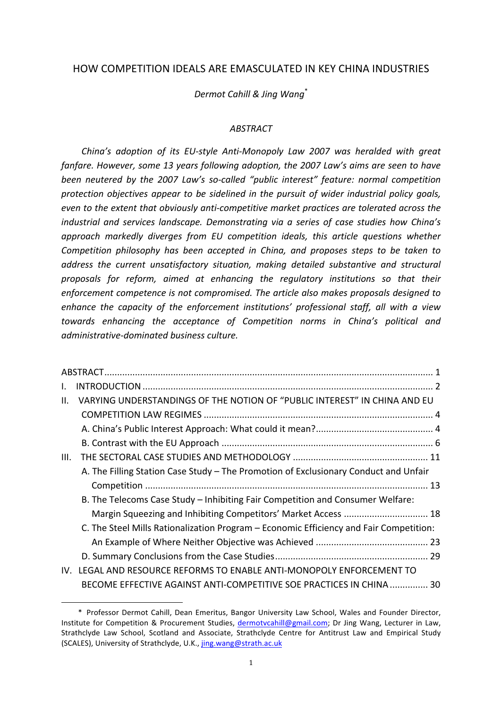# HOW COMPETITION IDEALS ARE EMASCULATED IN KEY CHINA INDUSTRIES

*Dermot Cahill & Jing Wang*\*

### *ABSTRACT*

*China's* adoption of its EU-style Anti-Monopoly Law 2007 was heralded with great fanfare. However, some 13 years following adoption, the 2007 Law's aims are seen to have *been neutered by the 2007 Law's so-called "public interest" feature: normal competition protection objectives appear to be sidelined in the pursuit of wider industrial policy goals, even to the extent that obviously anti-competitive market practices are tolerated across the industrial and services landscape. Demonstrating via a series of case studies how China's approach markedly diverges from EU competition ideals, this article questions whether Competition philosophy has been accepted in China, and proposes steps to be taken to* address the current unsatisfactory situation, making detailed substantive and structural *proposals for reform, aimed at enhancing the regulatory institutions so that their enforcement competence is not compromised. The article also makes proposals designed to* enhance the capacity of the enforcement institutions' professional staff, all with a view *towards enhancing the acceptance of Competition norms in China's political and administrative-dominated business culture.*

| I.   |                                                                                        |  |
|------|----------------------------------------------------------------------------------------|--|
| II.  | VARYING UNDERSTANDINGS OF THE NOTION OF "PUBLIC INTEREST" IN CHINA AND EU              |  |
|      |                                                                                        |  |
|      |                                                                                        |  |
|      |                                                                                        |  |
| III. |                                                                                        |  |
|      | A. The Filling Station Case Study - The Promotion of Exclusionary Conduct and Unfair   |  |
|      |                                                                                        |  |
|      | B. The Telecoms Case Study - Inhibiting Fair Competition and Consumer Welfare:         |  |
|      | Margin Squeezing and Inhibiting Competitors' Market Access  18                         |  |
|      | C. The Steel Mills Rationalization Program - Economic Efficiency and Fair Competition: |  |
|      |                                                                                        |  |
|      |                                                                                        |  |
| IV.  | LEGAL AND RESOURCE REFORMS TO ENABLE ANTI-MONOPOLY ENFORCEMENT TO                      |  |
|      | BECOME EFFECTIVE AGAINST ANTI-COMPETITIVE SOE PRACTICES IN CHINA  30                   |  |

<sup>\*</sup> Professor Dermot Cahill, Dean Emeritus, Bangor University Law School, Wales and Founder Director, Institute for Competition & Procurement Studies, dermotycahill@gmail.com; Dr Jing Wang, Lecturer in Law, Strathclyde Law School, Scotland and Associate, Strathclyde Centre for Antitrust Law and Empirical Study (SCALES), University of Strathclyde, U.K., jing.wang@strath.ac.uk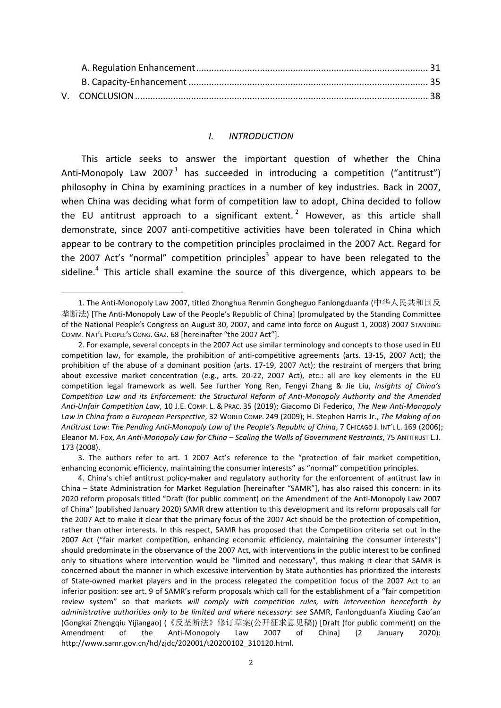#### *I. INTRODUCTION*

This article seeks to answer the important question of whether the China Anti-Monopoly Law 2007<sup>1</sup> has succeeded in introducing a competition ("antitrust") philosophy in China by examining practices in a number of key industries. Back in 2007, when China was deciding what form of competition law to adopt, China decided to follow the EU antitrust approach to a significant extent.<sup>2</sup> However, as this article shall demonstrate, since 2007 anti-competitive activities have been tolerated in China which appear to be contrary to the competition principles proclaimed in the 2007 Act. Regard for the 2007 Act's "normal" competition principles<sup>3</sup> appear to have been relegated to the sideline. $4$  This article shall examine the source of this divergence, which appears to be

 

3. The authors refer to art. 1 2007 Act's reference to the "protection of fair market competition, enhancing economic efficiency, maintaining the consumer interests" as "normal" competition principles.

4. China's chief antitrust policy-maker and regulatory authority for the enforcement of antitrust law in China – State Administration for Market Regulation [hereinafter "SAMR"], has also raised this concern: in its 2020 reform proposals titled "Draft (for public comment) on the Amendment of the Anti-Monopoly Law 2007 of China" (published January 2020) SAMR drew attention to this development and its reform proposals call for the 2007 Act to make it clear that the primary focus of the 2007 Act should be the protection of competition, rather than other interests. In this respect, SAMR has proposed that the Competition criteria set out in the 2007 Act ("fair market competition, enhancing economic efficiency, maintaining the consumer interests") should predominate in the observance of the 2007 Act, with interventions in the public interest to be confined only to situations where intervention would be "limited and necessary", thus making it clear that SAMR is concerned about the manner in which excessive intervention by State authorities has prioritized the interests of State-owned market players and in the process relegated the competition focus of the 2007 Act to an inferior position: see art. 9 of SAMR's reform proposals which call for the establishment of a "fair competition review system" so that markets will comply with competition rules, with intervention henceforth by *administrative authorities only to be limited and where necessary: see SAMR, Fanlongduanfa Xiuding Cao'an* (Gongkai Zhengqiu Yijiangao) (《反垄断法》修订草案(公开征求意见稿)) [Draft (for public comment) on the Amendment of the Anti-Monopoly Law 2007 of Chinal (2 January 2020): http://www.samr.gov.cn/hd/zjdc/202001/t20200102\_310120.html.

<sup>1.</sup> The Anti-Monopoly Law 2007, titled Zhonghua Renmin Gongheguo Fanlongduanfa (中华人民共和国反 垄断法) [The Anti-Monopoly Law of the People's Republic of China] (promulgated by the Standing Committee of the National People's Congress on August 30, 2007, and came into force on August 1, 2008) 2007 STANDING COMM. NAT'L PEOPLE'S CONG. GAZ. 68 [hereinafter "the 2007 Act"].

<sup>2.</sup> For example, several concepts in the 2007 Act use similar terminology and concepts to those used in EU competition law, for example, the prohibition of anti-competitive agreements (arts. 13-15, 2007 Act); the prohibition of the abuse of a dominant position (arts. 17-19, 2007 Act); the restraint of mergers that bring about excessive market concentration (e.g., arts. 20-22, 2007 Act), etc.: all are key elements in the EU competition legal framework as well. See further Yong Ren, Fengyi Zhang & Jie Liu, Insights of China's *Competition Law and its Enforcement: the Structural Reform of Anti-Monopoly Authority and the Amended* Anti-Unfair Competition Law, 10 J.E. COMP. L. & PRAC. 35 (2019); Giacomo Di Federico, *The New Anti-Monopoly* Law in China from a European Perspective, 32 WORLD COMP. 249 (2009); H. Stephen Harris Jr., The Making of an Antitrust Law: The Pending Anti-Monopoly Law of the People's Republic of China, 7 CHICAGO J. INT'L L. 169 (2006); Eleanor M. Fox, *An Anti-Monopoly Law for China* – *Scaling the Walls of Government Restraints*, 75 ANTITRUST L.J. 173 (2008).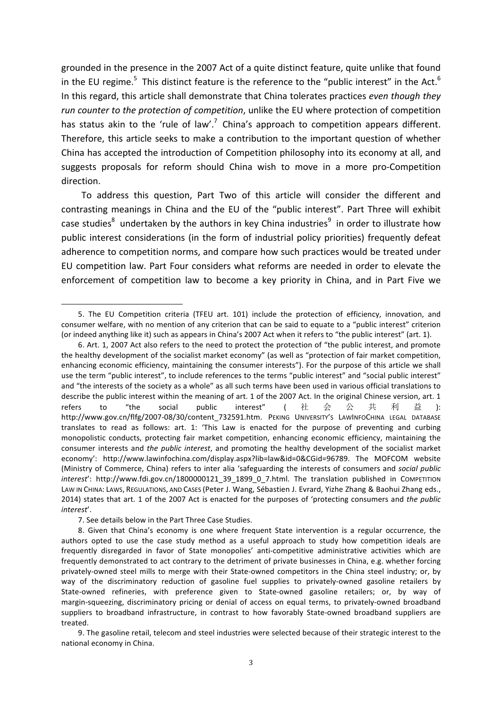grounded in the presence in the 2007 Act of a quite distinct feature, quite unlike that found in the EU regime.<sup>5</sup> This distinct feature is the reference to the "public interest" in the Act.<sup>6</sup> In this regard, this article shall demonstrate that China tolerates practices *even though they run counter to the protection of competition*, unlike the EU where protection of competition has status akin to the 'rule of law'.<sup>7</sup> China's approach to competition appears different. Therefore, this article seeks to make a contribution to the important question of whether China has accepted the introduction of Competition philosophy into its economy at all, and suggests proposals for reform should China wish to move in a more pro-Competition direction.

To address this question, Part Two of this article will consider the different and contrasting meanings in China and the EU of the "public interest". Part Three will exhibit case studies<sup>8</sup> undertaken by the authors in key China industries<sup>9</sup> in order to illustrate how public interest considerations (in the form of industrial policy priorities) frequently defeat adherence to competition norms, and compare how such practices would be treated under EU competition law. Part Four considers what reforms are needed in order to elevate the enforcement of competition law to become a key priority in China, and in Part Five we

7. See details below in the Part Three Case Studies.

<sup>5.</sup> The EU Competition criteria (TFEU art. 101) include the protection of efficiency, innovation, and consumer welfare, with no mention of any criterion that can be said to equate to a "public interest" criterion (or indeed anything like it) such as appears in China's 2007 Act when it refers to "the public interest" (art. 1).

<sup>6.</sup> Art. 1, 2007 Act also refers to the need to protect the protection of "the public interest, and promote the healthy development of the socialist market economy" (as well as "protection of fair market competition, enhancing economic efficiency, maintaining the consumer interests"). For the purpose of this article we shall use the term "public interest", to include references to the terms "public interest" and "social public interest" and "the interests of the society as a whole" as all such terms have been used in various official translations to describe the public interest within the meaning of art. 1 of the 2007 Act. In the original Chinese version, art. 1 refers to "the social public interest" ( 社 会 公 共 利 益 ): http://www.gov.cn/flfg/2007-08/30/content\_732591.htm. PEKING UNIVERSITY's LAWINFOCHINA LEGAL DATABASE translates to read as follows: art. 1: 'This Law is enacted for the purpose of preventing and curbing monopolistic conducts, protecting fair market competition, enhancing economic efficiency, maintaining the consumer interests and *the public interest*, and promoting the healthy development of the socialist market economy': http://www.lawinfochina.com/display.aspx?lib=law&id=0&CGid=96789. The MOFCOM website (Ministry of Commerce, China) refers to inter alia 'safeguarding the interests of consumers and *social public interest'*: http://www.fdi.gov.cn/1800000121\_39\_1899\_0\_7.html. The translation published in COMPETITION LAW IN CHINA: LAWS, REGULATIONS, AND CASES (Peter J. Wang, Sébastien J. Evrard, Yizhe Zhang & Baohui Zhang eds., 2014) states that art. 1 of the 2007 Act is enacted for the purposes of 'protecting consumers and the public *interest*'.

<sup>8.</sup> Given that China's economy is one where frequent State intervention is a regular occurrence, the authors opted to use the case study method as a useful approach to study how competition ideals are frequently disregarded in favor of State monopolies' anti-competitive administrative activities which are frequently demonstrated to act contrary to the detriment of private businesses in China, e.g. whether forcing privately-owned steel mills to merge with their State-owned competitors in the China steel industry; or, by way of the discriminatory reduction of gasoline fuel supplies to privately-owned gasoline retailers by State-owned refineries, with preference given to State-owned gasoline retailers; or, by way of margin-squeezing, discriminatory pricing or denial of access on equal terms, to privately-owned broadband suppliers to broadband infrastructure, in contrast to how favorably State-owned broadband suppliers are treated.

<sup>9.</sup> The gasoline retail, telecom and steel industries were selected because of their strategic interest to the national economy in China.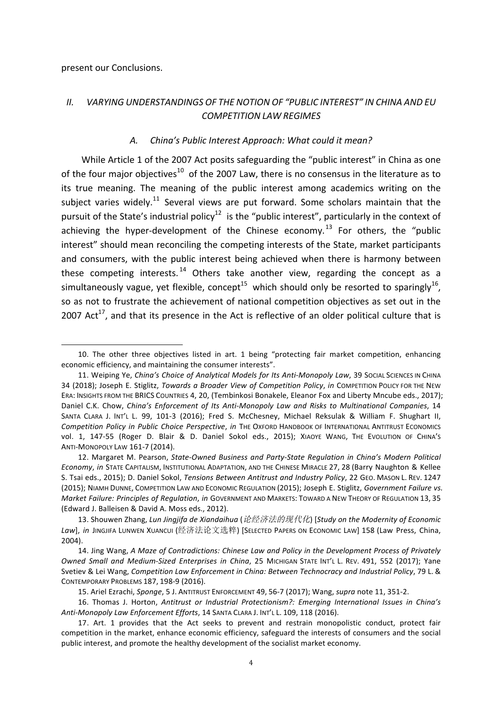present our Conclusions.

 

# *II. VARYING UNDERSTANDINGS OF THE NOTION OF "PUBLIC INTEREST" IN CHINA AND EU COMPETITION LAW REGIMES*

#### A. China's Public Interest Approach: What could it mean?

While Article 1 of the 2007 Act posits safeguarding the "public interest" in China as one of the four major objectives<sup>10</sup> of the 2007 Law, there is no consensus in the literature as to its true meaning. The meaning of the public interest among academics writing on the subject varies widely.<sup>11</sup> Several views are put forward. Some scholars maintain that the pursuit of the State's industrial policy<sup>12</sup> is the "public interest", particularly in the context of achieving the hyper-development of the Chinese economy.<sup>13</sup> For others, the "public interest" should mean reconciling the competing interests of the State, market participants and consumers, with the public interest being achieved when there is harmony between these competing interests.  $14$  Others take another view, regarding the concept as a simultaneously vague, yet flexible, concept<sup>15</sup> which should only be resorted to sparingly<sup>16</sup>, so as not to frustrate the achievement of national competition objectives as set out in the 2007 Act<sup>17</sup>, and that its presence in the Act is reflective of an older political culture that is

<sup>10.</sup> The other three objectives listed in art. 1 being "protecting fair market competition, enhancing economic efficiency, and maintaining the consumer interests".

<sup>11.</sup> Weiping Ye, *Ching's Choice of Analytical Models for Its Anti-Monopoly Law*, 39 Social Sciences in China 34 (2018); Joseph E. Stiglitz, *Towards a Broader View of Competition Policy*, *in* COMPETITION POLICY FOR THE NEW ERA: INSIGHTS FROM THE BRICS COUNTRIES 4, 20, (Tembinkosi Bonakele, Eleanor Fox and Liberty Mncube eds., 2017); Daniel C.K. Chow, *China's Enforcement of Its Anti-Monopoly Law and Risks to Multinational Companies*, 14 SANTA CLARA J. INT'L L. 99, 101-3 (2016); Fred S. McChesney, Michael Reksulak & William F. Shughart II, *Competition Policy in Public Choice Perspective, in* THE OXFORD HANDBOOK OF INTERNATIONAL ANTITRUST ECONOMICS vol. 1, 147-55 (Roger D. Blair & D. Daniel Sokol eds., 2015); XIAOYE WANG, THE EVOLUTION OF CHINA's ANTI-MONOPOLY LAW 161-7 (2014).

<sup>12.</sup> Margaret M. Pearson, *State-Owned Business and Party-State Regulation in China's Modern Political Economy, in* STATE CAPITALISM, INSTITUTIONAL ADAPTATION, AND THE CHINESE MIRACLE 27, 28 (Barry Naughton & Kellee S. Tsai eds., 2015); D. Daniel Sokol, *Tensions Between Antitrust and Industry Policy*, 22 GEO. MASON L. REV. 1247 (2015); NIAMH DUNNE, COMPETITION LAW AND ECONOMIC REGULATION (2015); Joseph E. Stiglitz, *Government Failure vs. Market Failure: Principles of Regulation, in GOVERNMENT AND MARKETS: TOWARD A NEW THEORY OF REGULATION 13, 35* (Edward J. Balleisen & David A. Moss eds., 2012).

<sup>13.</sup> Shouwen Zhang, Lun Jingjifa de Xiandaihua (论经济法的现代化) [Study on the Modernity of Economic Law], in JINGJIFA LUNWEN XUANCUI (经济法论文选粹) [SELECTED PAPERS ON ECONOMIC LAW] 158 (Law Press, China, 2004).

<sup>14.</sup> Jing Wang, A Maze of Contradictions: Chinese Law and Policy in the Development Process of Privately Owned Small and Medium-Sized Enterprises in China, 25 MICHIGAN STATE INT'L L. REV. 491, 552 (2017); Yane Svetiev & Lei Wang, *Competition Law Enforcement in China: Between Technocracy and Industrial Policy*, 79 L. & CONTEMPORARY PROBLEMS 187, 198-9 (2016).

<sup>15.</sup> Ariel Ezrachi, *Sponge*, 5 J. ANTITRUST ENFORCEMENT 49, 56-7 (2017); Wang, *supra* note 11, 351-2.

<sup>16.</sup> Thomas J. Horton, *Antitrust or Industrial Protectionism?: Emerging International Issues in China's* Anti-Monopoly Law Enforcement Efforts, 14 SANTA CLARA J. INT'L L. 109, 118 (2016).

<sup>17.</sup> Art. 1 provides that the Act seeks to prevent and restrain monopolistic conduct, protect fair competition in the market, enhance economic efficiency, safeguard the interests of consumers and the social public interest, and promote the healthy development of the socialist market economy.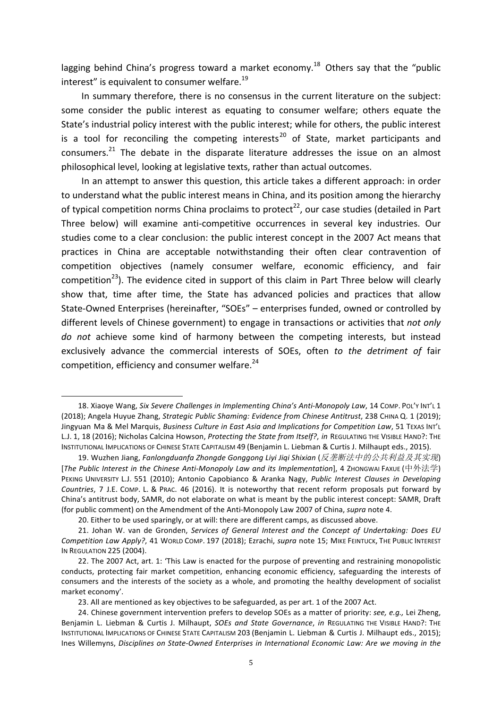lagging behind China's progress toward a market economy.<sup>18</sup> Others say that the "public interest" is equivalent to consumer welfare.<sup>19</sup>

In summary therefore, there is no consensus in the current literature on the subject: some consider the public interest as equating to consumer welfare; others equate the State's industrial policy interest with the public interest; while for others, the public interest is a tool for reconciling the competing interests<sup>20</sup> of State, market participants and consumers.<sup>21</sup> The debate in the disparate literature addresses the issue on an almost philosophical level, looking at legislative texts, rather than actual outcomes.

In an attempt to answer this question, this article takes a different approach: in order to understand what the public interest means in China, and its position among the hierarchy of typical competition norms China proclaims to protect<sup>22</sup>, our case studies (detailed in Part Three below) will examine anti-competitive occurrences in several key industries. Our studies come to a clear conclusion: the public interest concept in the 2007 Act means that practices in China are acceptable notwithstanding their often clear contravention of competition objectives (namely consumer welfare, economic efficiency, and fair competition<sup>23</sup>). The evidence cited in support of this claim in Part Three below will clearly show that, time after time, the State has advanced policies and practices that allow State-Owned Enterprises (hereinafter, "SOEs" – enterprises funded, owned or controlled by different levels of Chinese government) to engage in transactions or activities that *not only* do not achieve some kind of harmony between the competing interests, but instead exclusively advance the commercial interests of SOEs, often to the detriment of fair competition, efficiency and consumer welfare. $24$ 

<sup>18.</sup> Xiaoye Wang, *Six Severe Challenges in Implementing China's Anti-Monopoly Law*, 14 COMP. POL'Y INT'L 1 (2018); Angela Huyue Zhang, *Strategic Public Shaming: Evidence from Chinese Antitrust*, 238 CHINA Q. 1 (2019); Jingyuan Ma & Mel Marquis, *Business Culture in East Asia and Implications for Competition Law*, 51 TEXAS INT'L L.J. 1, 18 (2016); Nicholas Calcina Howson, Protecting the State from Itself?, in REGULATING THE VISIBLE HAND?: THE INSTITUTIONAL IMPLICATIONS OF CHINESE STATE CAPITALISM 49 (Benjamin L. Liebman & Curtis J. Milhaupt eds., 2015).

<sup>19.</sup> Wuzhen Jiang, Fanlongduanfa Zhongde Gonggong Liyi Jiqi Shixian (反垄断法中的公共利益及其实现) [*The Public Interest in the Chinese Anti-Monopoly Law and its Implementation*], 4 ZHONGWAI FAXUE (中外法学) PEKING UNIVERSITY L.J. 551 (2010); Antonio Capobianco & Aranka Nagy, *Public Interest Clauses in Developing Countries*, 7 J.E. COMP. L. & PRAC. 46 (2016). It is noteworthy that recent reform proposals put forward by China's antitrust body, SAMR, do not elaborate on what is meant by the public interest concept: SAMR, Draft (for public comment) on the Amendment of the Anti-Monopoly Law 2007 of China, *supra* note 4.

<sup>20.</sup> Either to be used sparingly, or at will: there are different camps, as discussed above.

<sup>21.</sup> Johan W. van de Gronden, Services of General Interest and the Concept of Undertaking: Does EU *Competition Law Apply?*, 41 WORLD COMP. 197 (2018); Ezrachi, *supra* note 15; MIKE FEINTUCK, THE PUBLIC INTEREST **IN REGULATION 225 (2004).** 

<sup>22.</sup> The 2007 Act, art. 1: 'This Law is enacted for the purpose of preventing and restraining monopolistic conducts, protecting fair market competition, enhancing economic efficiency, safeguarding the interests of consumers and the interests of the society as a whole, and promoting the healthy development of socialist market economy'.

<sup>23.</sup> All are mentioned as key objectives to be safeguarded, as per art. 1 of the 2007 Act.

<sup>24.</sup> Chinese government intervention prefers to develop SOEs as a matter of priority: *see, e.g.,* Lei Zheng, Benjamin L. Liebman & Curtis J. Milhaupt, *SOEs and State Governance*, *in* REGULATING THE VISIBLE HAND?: THE INSTITUTIONAL IMPLICATIONS OF CHINESE STATE CAPITALISM 203 (Benjamin L. Liebman & Curtis J. Milhaupt eds., 2015); Ines Willemyns, *Disciplines on State-Owned Enterprises in International Economic Law: Are we moving in the*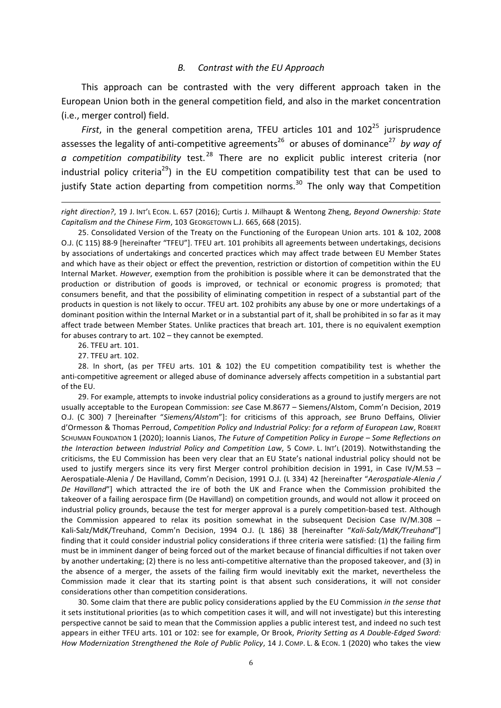#### *B. Contrast with the EU Approach*

This approach can be contrasted with the very different approach taken in the European Union both in the general competition field, and also in the market concentration (i.e., merger control) field.

*First*, in the general competition arena, TFEU articles 101 and  $102^{25}$  jurisprudence assesses the legality of anti-competitive agreements<sup>26</sup> or abuses of dominance<sup>27</sup> *by way of* a competition compatibility test.<sup>28</sup> There are no explicit public interest criteria (nor industrial policy criteria<sup>29</sup>) in the EU competition compatibility test that can be used to justify State action departing from competition norms.<sup>30</sup> The only way that Competition

26. TFEU art. 101.

27. TFEU art. 102.

28. In short, (as per TFEU arts. 101 & 102) the EU competition compatibility test is whether the anti-competitive agreement or alleged abuse of dominance adversely affects competition in a substantial part of the EU.

29. For example, attempts to invoke industrial policy considerations as a ground to justify mergers are not usually acceptable to the European Commission: see Case M.8677 – Siemens/Alstom, Comm'n Decision, 2019 O.J. (C 300) 7 [hereinafter "Siemens/Alstom"]: for criticisms of this approach, see Bruno Deffains, Olivier d'Ormesson & Thomas Perroud, *Competition Policy and Industrial Policy: for a reform of European Law*, ROBERT SCHUMAN FOUNDATION 1 (2020); Ioannis Lianos, *The Future of Competition Policy in Europe – Some Reflections on the Interaction between Industrial Policy and Competition Law,* 5 COMP. L. INT'L (2019). Notwithstanding the criticisms, the EU Commission has been very clear that an EU State's national industrial policy should not be used to justify mergers since its very first Merger control prohibition decision in 1991, in Case IV/M.53 – Aerospatiale-Alenia / De Havilland, Comm'n Decision, 1991 O.J. (L 334) 42 [hereinafter "Aerospatiale-Alenia / *De Havilland*"] which attracted the ire of both the UK and France when the Commission prohibited the takeover of a failing aerospace firm (De Havilland) on competition grounds, and would not allow it proceed on industrial policy grounds, because the test for merger approval is a purely competition-based test. Although the Commission appeared to relax its position somewhat in the subsequent Decision Case IV/M.308 – Kali-Salz/MdK/Treuhand, Comm'n Decision, 1994 O.J. (L 186) 38 [hereinafter "Kali-Salz/MdK/Treuhand"] finding that it could consider industrial policy considerations if three criteria were satisfied: (1) the failing firm must be in imminent danger of being forced out of the market because of financial difficulties if not taken over by another undertaking; (2) there is no less anti-competitive alternative than the proposed takeover, and (3) in the absence of a merger, the assets of the failing firm would inevitably exit the market, nevertheless the Commission made it clear that its starting point is that absent such considerations, it will not consider considerations other than competition considerations.

30. Some claim that there are public policy considerations applied by the EU Commission in the sense that it sets institutional priorities (as to which competition cases it will, and will not investigate) but this interesting perspective cannot be said to mean that the Commission applies a public interest test, and indeed no such test appears in either TFEU arts. 101 or 102: see for example, Or Brook, *Priority Setting as A Double-Edged Sword: How Modernization Strengthened the Role of Public Policy*, 14 J. COMP. L. & ECON. 1 (2020) who takes the view

<sup>&</sup>lt;u> 1989 - Andrea Santa Alemania, amerikana amerikana amerikana amerikana amerikana amerikana amerikana amerikan</u> right direction?, 19 J. INT'L ECON. L. 657 (2016); Curtis J. Milhaupt & Wentong Zheng, *Beyond Ownership: State* Capitalism and the Chinese Firm, 103 GEORGETOWN L.J. 665, 668 (2015).

<sup>25.</sup> Consolidated Version of the Treaty on the Functioning of the European Union arts. 101 & 102, 2008 O.J. (C 115) 88-9 [hereinafter "TFEU"]. TFEU art. 101 prohibits all agreements between undertakings, decisions by associations of undertakings and concerted practices which may affect trade between EU Member States and which have as their object or effect the prevention, restriction or distortion of competition within the EU Internal Market. *However*, exemption from the prohibition is possible where it can be demonstrated that the production or distribution of goods is improved, or technical or economic progress is promoted; that consumers benefit, and that the possibility of eliminating competition in respect of a substantial part of the products in question is not likely to occur. TFEU art. 102 prohibits any abuse by one or more undertakings of a dominant position within the Internal Market or in a substantial part of it, shall be prohibited in so far as it may affect trade between Member States. Unlike practices that breach art. 101, there is no equivalent exemption for abuses contrary to art.  $102 -$  they cannot be exempted.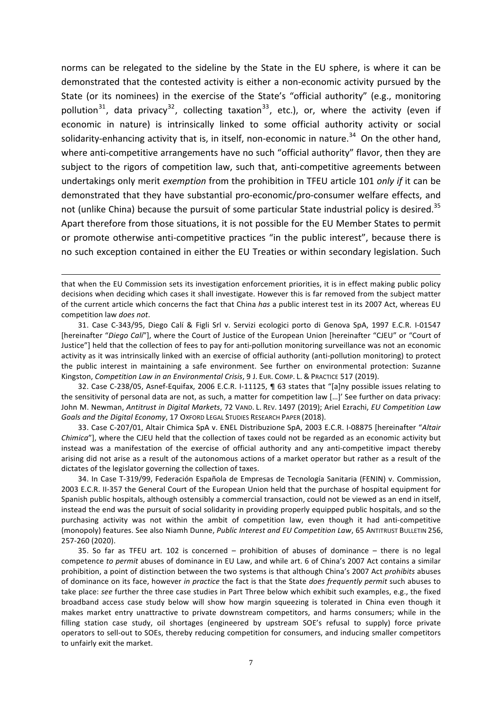norms can be relegated to the sideline by the State in the EU sphere, is where it can be demonstrated that the contested activity is either a non-economic activity pursued by the State (or its nominees) in the exercise of the State's "official authority" (e.g., monitoring pollution<sup>31</sup>, data privacy<sup>32</sup>, collecting taxation<sup>33</sup>, etc.), or, where the activity (even if economic in nature) is intrinsically linked to some official authority activity or social solidarity-enhancing activity that is, in itself, non-economic in nature.<sup>34</sup> On the other hand, where anti-competitive arrangements have no such "official authority" flavor, then they are subject to the rigors of competition law, such that, anti-competitive agreements between undertakings only merit *exemption* from the prohibition in TFEU article 101 *only if* it can be demonstrated that they have substantial pro-economic/pro-consumer welfare effects, and not (unlike China) because the pursuit of some particular State industrial policy is desired.<sup>35</sup> Apart therefore from those situations, it is not possible for the EU Member States to permit or promote otherwise anti-competitive practices "in the public interest", because there is no such exception contained in either the EU Treaties or within secondary legislation. Such

<u> 1989 - Andrea Santa Alemania, amerikana amerikana amerikana amerikana amerikana amerikana amerikana amerikan</u>

32. Case C-238/05, Asnef-Equifax, 2006 E.C.R. I-11125, ¶ 63 states that "[a]ny possible issues relating to the sensitivity of personal data are not, as such, a matter for competition law [...]' See further on data privacy: John M. Newman, Antitrust in Digital Markets, 72 VAND. L. REV. 1497 (2019); Ariel Ezrachi, *EU Competition Law* Goals and the Digital Economy, 17 OXFORD LEGAL STUDIES RESEARCH PAPER (2018).

33. Case C-207/01, Altair Chimica SpA v. ENEL Distribuzione SpA, 2003 E.C.R. I-08875 [hereinafter "Altair *Chimica*"], where the CJEU held that the collection of taxes could not be regarded as an economic activity but instead was a manifestation of the exercise of official authority and any anti-competitive impact thereby arising did not arise as a result of the autonomous actions of a market operator but rather as a result of the dictates of the legislator governing the collection of taxes.

34. In Case T-319/99, Federación Española de Empresas de Tecnología Sanitaria (FENIN) v. Commission, 2003 E.C.R. II-357 the General Court of the European Union held that the purchase of hospital equipment for Spanish public hospitals, although ostensibly a commercial transaction, could not be viewed as an end in itself, instead the end was the pursuit of social solidarity in providing properly equipped public hospitals, and so the purchasing activity was not within the ambit of competition law, even though it had anti-competitive (monopoly) features. See also Niamh Dunne, *Public Interest and EU Competition Law*, 65 ANTITRUST BULLETIN 256, 257-260 (2020).

35. So far as TFEU art. 102 is concerned – prohibition of abuses of dominance – there is no legal competence to permit abuses of dominance in EU Law, and while art. 6 of China's 2007 Act contains a similar prohibition, a point of distinction between the two systems is that although China's 2007 Act *prohibits* abuses of dominance on its face, however *in practice* the fact is that the State *does frequently permit* such abuses to take place: see further the three case studies in Part Three below which exhibit such examples, e.g., the fixed broadband access case study below will show how margin squeezing is tolerated in China even though it makes market entry unattractive to private downstream competitors, and harms consumers; while in the filling station case study, oil shortages (engineered by upstream SOE's refusal to supply) force private operators to sell-out to SOEs, thereby reducing competition for consumers, and inducing smaller competitors to unfairly exit the market.

that when the EU Commission sets its investigation enforcement priorities, it is in effect making public policy decisions when deciding which cases it shall investigate. However this is far removed from the subject matter of the current article which concerns the fact that China has a public interest test in its 2007 Act, whereas EU competition law *does not*.

<sup>31.</sup> Case C-343/95, Diego Calí & Figli Srl v. Servizi ecologici porto di Genova SpA, 1997 E.C.R. I-01547 [hereinafter "Diego Cali"], where the Court of Justice of the European Union [hereinafter "CJEU" or "Court of Justice"] held that the collection of fees to pay for anti-pollution monitoring surveillance was not an economic activity as it was intrinsically linked with an exercise of official authority (anti-pollution monitoring) to protect the public interest in maintaining a safe environment. See further on environmental protection: Suzanne Kingston, *Competition Law in an Environmental Crisis*, 9 J. EUR. COMP. L. & PRACTICE 517 (2019).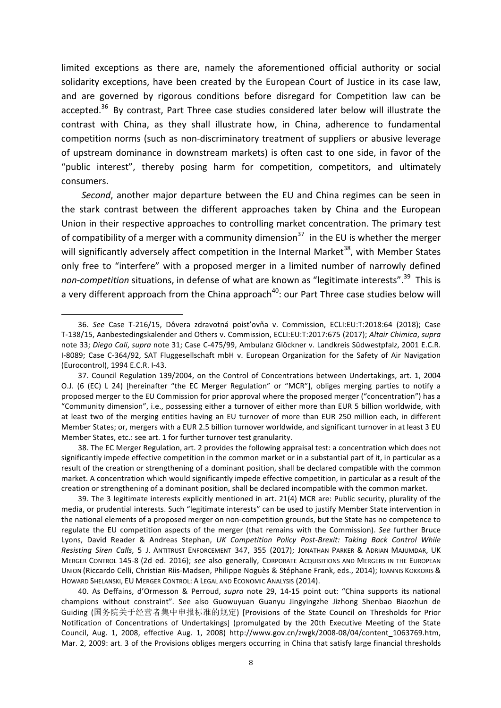limited exceptions as there are, namely the aforementioned official authority or social solidarity exceptions, have been created by the European Court of Justice in its case law, and are governed by rigorous conditions before disregard for Competition law can be accepted.<sup>36</sup> By contrast, Part Three case studies considered later below will illustrate the contrast with China, as they shall illustrate how, in China, adherence to fundamental competition norms (such as non-discriminatory treatment of suppliers or abusive leverage of upstream dominance in downstream markets) is often cast to one side, in favor of the "public interest", thereby posing harm for competition, competitors, and ultimately consumers.

*Second*, another major departure between the EU and China regimes can be seen in the stark contrast between the different approaches taken by China and the European Union in their respective approaches to controlling market concentration. The primary test of compatibility of a merger with a community dimension<sup>37</sup> in the EU is whether the merger will significantly adversely affect competition in the Internal Market<sup>38</sup>, with Member States only free to "interfere" with a proposed merger in a limited number of narrowly defined *non-competition* situations, in defense of what are known as "legitimate interests".<sup>39</sup> This is a very different approach from the China approach<sup>40</sup>: our Part Three case studies below will

<sup>36.</sup> See Case T-216/15, Dôvera zdravotná poisťovňa v. Commission, ECLI:EU:T:2018:64 (2018); Case T-138/15, Aanbestedingskalender and Others v. Commission, ECLI:EU:T:2017:675 (2017); *Altair Chimica*, *supra* note 33; *Diego Calí, supra* note 31; Case C-475/99, Ambulanz Glöckner v. Landkreis Südwestpfalz, 2001 E.C.R. I-8089; Case C-364/92, SAT Fluggesellschaft mbH v. European Organization for the Safety of Air Navigation (Eurocontrol), 1994 E.C.R. I-43.

<sup>37.</sup> Council Regulation 139/2004, on the Control of Concentrations between Undertakings, art. 1, 2004 O.J. (6 (EC) L 24) [hereinafter "the EC Merger Regulation" or "MCR"], obliges merging parties to notify a proposed merger to the EU Commission for prior approval where the proposed merger ("concentration") has a "Community dimension", i.e., possessing either a turnover of either more than EUR 5 billion worldwide, with at least two of the merging entities having an EU turnover of more than EUR 250 million each, in different Member States; or, mergers with a EUR 2.5 billion turnover worldwide, and significant turnover in at least 3 EU Member States, etc.: see art. 1 for further turnover test granularity.

<sup>38.</sup> The EC Merger Regulation, art. 2 provides the following appraisal test: a concentration which does not significantly impede effective competition in the common market or in a substantial part of it, in particular as a result of the creation or strengthening of a dominant position, shall be declared compatible with the common market. A concentration which would significantly impede effective competition, in particular as a result of the creation or strengthening of a dominant position, shall be declared incompatible with the common market.

<sup>39.</sup> The 3 legitimate interests explicitly mentioned in art. 21(4) MCR are: Public security, plurality of the media, or prudential interests. Such "legitimate interests" can be used to justify Member State intervention in the national elements of a proposed merger on non-competition grounds, but the State has no competence to regulate the EU competition aspects of the merger (that remains with the Commission). See further Bruce Lyons, David Reader & Andreas Stephan, *UK Competition Policy Post-Brexit: Taking Back Control While Resisting Siren Calls*, 5 J. ANTITRUST ENFORCEMENT 347, 355 (2017); JONATHAN PARKER & ADRIAN MAJUMDAR, UK MERGER CONTROL 145-8 (2d ed. 2016); see also generally, CORPORATE ACQUISITIONS AND MERGERS IN THE EUROPEAN UNION (Riccardo Celli, Christian Riis-Madsen, Philippe Noguès & Stéphane Frank, eds., 2014); IOANNIS KOKKORIS & HOWARD SHELANSKI, EU MERGER CONTROL: A LEGAL AND ECONOMIC ANALYSIS (2014).

<sup>40.</sup> As Deffains, d'Ormesson & Perroud, *supra* note 29, 14-15 point out: "China supports its national champions without constraint". See also Guowuyuan Guanyu Jingyingzhe Jizhong Shenbao Biaozhun de Guiding (国务院关于经营者集中申报标准的规定) [Provisions of the State Council on Thresholds for Prior Notification of Concentrations of Undertakings] (promulgated by the 20th Executive Meeting of the State Council, Aug. 1, 2008, effective Aug. 1, 2008) http://www.gov.cn/zwgk/2008-08/04/content 1063769.htm, Mar. 2, 2009: art. 3 of the Provisions obliges mergers occurring in China that satisfy large financial thresholds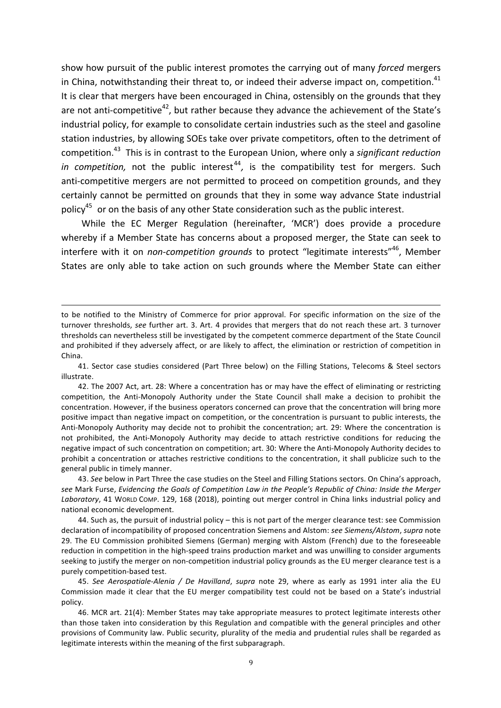show how pursuit of the public interest promotes the carrying out of many *forced* mergers in China, notwithstanding their threat to, or indeed their adverse impact on, competition. $41$ It is clear that mergers have been encouraged in China, ostensibly on the grounds that they are not anti-competitive<sup>42</sup>, but rather because they advance the achievement of the State's industrial policy, for example to consolidate certain industries such as the steel and gasoline station industries, by allowing SOEs take over private competitors, often to the detriment of competition.<sup>43</sup> This is in contrast to the European Union, where only a significant reduction *in competition*, not the public interest<sup>44</sup>, is the compatibility test for mergers. Such anti-competitive mergers are not permitted to proceed on competition grounds, and they certainly cannot be permitted on grounds that they in some way advance State industrial policy<sup>45</sup> or on the basis of any other State consideration such as the public interest.

While the EC Merger Regulation (hereinafter, 'MCR') does provide a procedure whereby if a Member State has concerns about a proposed merger, the State can seek to interfere with it on *non-competition grounds* to protect "legitimate interests"<sup>46</sup>, Member States are only able to take action on such grounds where the Member State can either

<u> 1989 - Andrea Santa Alemania, amerikana amerikana amerikana amerikana amerikana amerikana amerikana amerikan</u>

41. Sector case studies considered (Part Three below) on the Filling Stations, Telecoms & Steel sectors illustrate.

43. See below in Part Three the case studies on the Steel and Filling Stations sectors. On China's approach, see Mark Furse, *Evidencing the Goals of Competition Law in the People's Republic of China: Inside the Merger* Laboratory, 41 WORLD COMP. 129, 168 (2018), pointing out merger control in China links industrial policy and national economic development.

44. Such as, the pursuit of industrial policy – this is not part of the merger clearance test: see Commission declaration of incompatibility of proposed concentration Siemens and Alstom: see Siemens/Alstom, supra note 29. The EU Commission prohibited Siemens (German) merging with Alstom (French) due to the foreseeable reduction in competition in the high-speed trains production market and was unwilling to consider arguments seeking to justify the merger on non-competition industrial policy grounds as the EU merger clearance test is a purely competition-based test.

45. See Aerospatiale-Alenia / De Havilland, supra note 29, where as early as 1991 inter alia the EU Commission made it clear that the EU merger compatibility test could not be based on a State's industrial policy.

46. MCR art. 21(4): Member States may take appropriate measures to protect legitimate interests other than those taken into consideration by this Regulation and compatible with the general principles and other provisions of Community law. Public security, plurality of the media and prudential rules shall be regarded as legitimate interests within the meaning of the first subparagraph.

to be notified to the Ministry of Commerce for prior approval. For specific information on the size of the turnover thresholds, see further art. 3. Art. 4 provides that mergers that do not reach these art. 3 turnover thresholds can nevertheless still be investigated by the competent commerce department of the State Council and prohibited if they adversely affect, or are likely to affect, the elimination or restriction of competition in China.

<sup>42.</sup> The 2007 Act, art. 28: Where a concentration has or may have the effect of eliminating or restricting competition, the Anti-Monopoly Authority under the State Council shall make a decision to prohibit the concentration. However, if the business operators concerned can prove that the concentration will bring more positive impact than negative impact on competition, or the concentration is pursuant to public interests, the Anti-Monopoly Authority may decide not to prohibit the concentration; art. 29: Where the concentration is not prohibited, the Anti-Monopoly Authority may decide to attach restrictive conditions for reducing the negative impact of such concentration on competition; art. 30: Where the Anti-Monopoly Authority decides to prohibit a concentration or attaches restrictive conditions to the concentration, it shall publicize such to the general public in timely manner.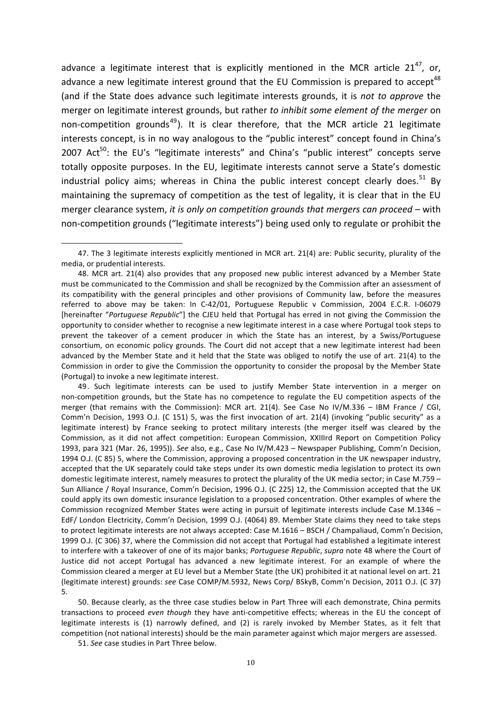advance a legitimate interest that is explicitly mentioned in the MCR article  $21^{47}$ , or, advance a new legitimate interest ground that the EU Commission is prepared to accept<sup>48</sup> (and if the State does advance such legitimate interests grounds, it is *not to approve* the merger on legitimate interest grounds, but rather to *inhibit some element of the merger* on non-competition grounds<sup>49</sup>). It is clear therefore, that the MCR article 21 legitimate interests concept, is in no way analogous to the "public interest" concept found in China's 2007 Act<sup>50</sup>: the EU's "legitimate interests" and China's "public interest" concepts serve totally opposite purposes. In the EU, legitimate interests cannot serve a State's domestic industrial policy aims; whereas in China the public interest concept clearly does.<sup>51</sup> By maintaining the supremacy of competition as the test of legality, it is clear that in the EU merger clearance system, *it is only on competition grounds that mergers can proceed* – with non-competition grounds ("legitimate interests") being used only to regulate or prohibit the

49. Such legitimate interests can be used to justify Member State intervention in a merger on non-competition grounds, but the State has no competence to regulate the EU competition aspects of the merger (that remains with the Commission): MCR art. 21(4). See Case No IV/M.336 – IBM France / CGI, Comm'n Decision, 1993 O.J. (C 151) 5, was the first invocation of art. 21(4) (invoking "public security" as a legitimate interest) by France seeking to protect military interests (the merger itself was cleared by the Commission, as it did not affect competition: European Commission, XXIIIrd Report on Competition Policy 1993, para 321 (Mar. 26, 1995)). See also, e.g., Case No IV/M.423 - Newspaper Publishing, Comm'n Decision, 1994 O.J. (C 85) 5, where the Commission, approving a proposed concentration in the UK newspaper industry, accepted that the UK separately could take steps under its own domestic media legislation to protect its own domestic legitimate interest, namely measures to protect the plurality of the UK media sector; in Case M.759 -Sun Alliance / Royal Insurance, Comm'n Decision, 1996 O.J. (C 225) 12, the Commission accepted that the UK could apply its own domestic insurance legislation to a proposed concentration. Other examples of where the Commission recognized Member States were acting in pursuit of legitimate interests include Case M.1346 -EdF/ London Electricity, Comm'n Decision, 1999 O.J. (4064) 89. Member State claims they need to take steps to protect legitimate interests are not always accepted: Case M.1616 – BSCH / Champaliaud, Comm'n Decision, 1999 O.J. (C 306) 37, where the Commission did not accept that Portugal had established a legitimate interest to interfere with a takeover of one of its major banks; *Portuguese Republic*, *supra* note 48 where the Court of Justice did not accept Portugal has advanced a new legitimate interest. For an example of where the Commission cleared a merger at EU level but a Member State (the UK) prohibited it at national level on art. 21 (legitimate interest) grounds: *see* Case COMP/M.5932, News Corp/ BSkyB, Comm'n Decision, 2011 O.J. (C 37) 5.

50. Because clearly, as the three case studies below in Part Three will each demonstrate, China permits transactions to proceed *even though* they have anti-competitive effects; whereas in the EU the concept of legitimate interests is (1) narrowly defined, and (2) is rarely invoked by Member States, as it felt that competition (not national interests) should be the main parameter against which major mergers are assessed.

51. See case studies in Part Three below.

<sup>47.</sup> The 3 legitimate interests explicitly mentioned in MCR art. 21(4) are: Public security, plurality of the media, or prudential interests.

<sup>48.</sup> MCR art. 21(4) also provides that any proposed new public interest advanced by a Member State must be communicated to the Commission and shall be recognized by the Commission after an assessment of its compatibility with the general principles and other provisions of Community law, before the measures referred to above may be taken: In C-42/01, Portuguese Republic v Commission, 2004 E.C.R. I-06079 [hereinafter "Portuguese Republic"] the CJEU held that Portugal has erred in not giving the Commission the opportunity to consider whether to recognise a new legitimate interest in a case where Portugal took steps to prevent the takeover of a cement producer in which the State has an interest, by a Swiss/Portuguese consortium, on economic policy grounds. The Court did not accept that a new legitimate interest had been advanced by the Member State and it held that the State was obliged to notify the use of art. 21(4) to the Commission in order to give the Commission the opportunity to consider the proposal by the Member State (Portugal) to invoke a new legitimate interest.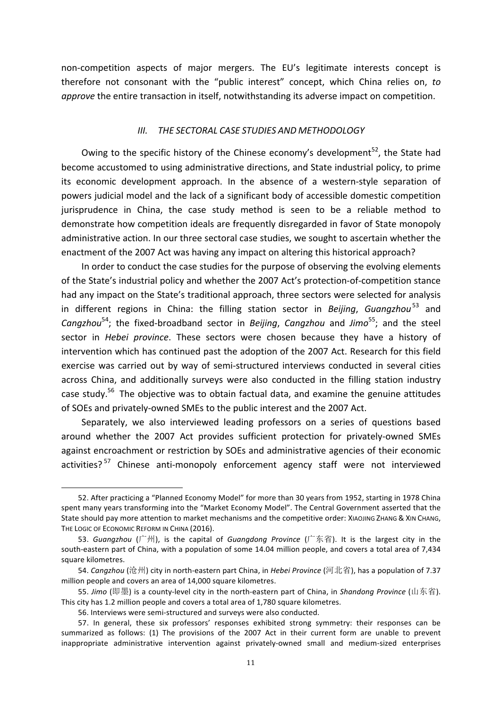non-competition aspects of major mergers. The EU's legitimate interests concept is therefore not consonant with the "public interest" concept, which China relies on, to *approve* the entire transaction in itself, notwithstanding its adverse impact on competition.

#### *III. THE SECTORAL CASE STUDIES AND METHODOLOGY*

Owing to the specific history of the Chinese economy's development<sup>52</sup>, the State had become accustomed to using administrative directions, and State industrial policy, to prime its economic development approach. In the absence of a western-style separation of powers judicial model and the lack of a significant body of accessible domestic competition jurisprudence in China, the case study method is seen to be a reliable method to demonstrate how competition ideals are frequently disregarded in favor of State monopoly administrative action. In our three sectoral case studies, we sought to ascertain whether the enactment of the 2007 Act was having any impact on altering this historical approach?

In order to conduct the case studies for the purpose of observing the evolving elements of the State's industrial policy and whether the 2007 Act's protection-of-competition stance had any impact on the State's traditional approach, three sectors were selected for analysis in different regions in China: the filling station sector in *Beijing*, *Guangzhou*<sup>53</sup> and *Cangzhou*<sup>54</sup>; the fixed-broadband sector in *Beijing*, *Cangzhou* and *Jimo*<sup>55</sup>; and the steel sector in *Hebei province*. These sectors were chosen because they have a history of intervention which has continued past the adoption of the 2007 Act. Research for this field exercise was carried out by way of semi-structured interviews conducted in several cities across China, and additionally surveys were also conducted in the filling station industry case study.<sup>56</sup> The objective was to obtain factual data, and examine the genuine attitudes of SOEs and privately-owned SMEs to the public interest and the 2007 Act.

Separately, we also interviewed leading professors on a series of questions based around whether the 2007 Act provides sufficient protection for privately-owned SMEs against encroachment or restriction by SOEs and administrative agencies of their economic activities?<sup>57</sup> Chinese anti-monopoly enforcement agency staff were not interviewed

<sup>52.</sup> After practicing a "Planned Economy Model" for more than 30 years from 1952, starting in 1978 China spent many years transforming into the "Market Economy Model". The Central Government asserted that the State should pay more attention to market mechanisms and the competitive order: XIAOJING ZHANG & XIN CHANG, THE LOGIC OF ECONOMIC REFORM IN CHINA (2016).

<sup>53.</sup> *Guangzhou* (广州), is the capital of *Guangdong Province* (广东省). It is the largest city in the south-eastern part of China, with a population of some 14.04 million people, and covers a total area of 7,434 square kilometres.

<sup>54.</sup> *Cangzhou* (沧州) city in north-eastern part China, in *Hebei Province* (河北省), has a population of 7.37 million people and covers an area of 14,000 square kilometres.

<sup>55.</sup> *Jimo* (即墨) is a county-level city in the north-eastern part of China, in *Shandong Province* (山东省). This city has 1.2 million people and covers a total area of 1,780 square kilometres.

<sup>56.</sup> Interviews were semi-structured and surveys were also conducted.

<sup>57.</sup> In general, these six professors' responses exhibited strong symmetry: their responses can be summarized as follows: (1) The provisions of the 2007 Act in their current form are unable to prevent inappropriate administrative intervention against privately-owned small and medium-sized enterprises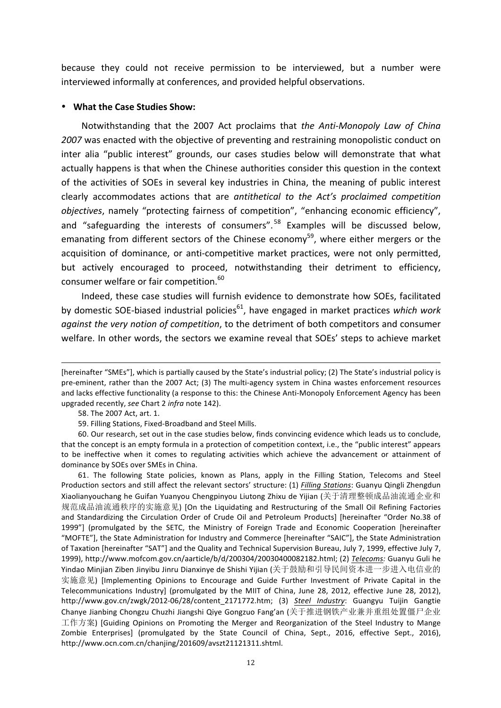because they could not receive permission to be interviewed, but a number were interviewed informally at conferences, and provided helpful observations.

# • What the Case Studies Show:

Notwithstanding that the 2007 Act proclaims that *the Anti-Monopoly Law of Ching* 2007 was enacted with the objective of preventing and restraining monopolistic conduct on inter alia "public interest" grounds, our cases studies below will demonstrate that what actually happens is that when the Chinese authorities consider this question in the context of the activities of SOEs in several key industries in China, the meaning of public interest clearly accommodates actions that are *antithetical* to the Act's proclaimed competition *objectives*, namely "protecting fairness of competition", "enhancing economic efficiency", and "safeguarding the interests of consumers".<sup>58</sup> Examples will be discussed below, emanating from different sectors of the Chinese economy<sup>59</sup>, where either mergers or the acquisition of dominance, or anti-competitive market practices, were not only permitted, but actively encouraged to proceed, notwithstanding their detriment to efficiency, consumer welfare or fair competition.<sup>60</sup>

Indeed, these case studies will furnish evidence to demonstrate how SOEs, facilitated by domestic SOE-biased industrial policies<sup>61</sup>, have engaged in market practices which work *against the very notion of competition*, to the detriment of both competitors and consumer welfare. In other words, the sectors we examine reveal that SOEs' steps to achieve market

<u> 1989 - Andrea Santa Andrea Andrea Andrea Andrea Andrea Andrea Andrea Andrea Andrea Andrea Andrea Andrea Andr</u>

61. The following State policies, known as Plans, apply in the Filling Station, Telecoms and Steel Production sectors and still affect the relevant sectors' structure: (1) *Filling Stations*: Guanyu Qingli Zhengdun Xiaolianyouchang he Guifan Yuanyou Chengpinyou Liutong Zhixu de Yijian (关于清理整顿成品油流通企业和 规范成品油流通秩序的实施意见) [On the Liquidating and Restructuring of the Small Oil Refining Factories and Standardizing the Circulation Order of Crude Oil and Petroleum Products] [hereinafter "Order No.38 of 1999"] (promulgated by the SETC, the Ministry of Foreign Trade and Economic Cooperation [hereinafter "MOFTE"], the State Administration for Industry and Commerce [hereinafter "SAIC"], the State Administration of Taxation [hereinafter "SAT"] and the Quality and Technical Supervision Bureau, July 7, 1999, effective July 7, 1999), http://www.mofcom.gov.cn/aarticle/b/d/200304/20030400082182.html; (2) Telecoms: Guanyu Guli he Yindao Minjian Ziben Jinyibu Jinru Dianxinye de Shishi Yijian (关于鼓励和引导民间资本进一步进入电信业的 实施意见) [Implementing Opinions to Encourage and Guide Further Investment of Private Capital in the Telecommunications Industry] (promulgated by the MIIT of China, June 28, 2012, effective June 28, 2012), http://www.gov.cn/zwgk/2012-06/28/content\_2171772.htm; (3) *Steel Industry*: Guangyu Tuijin Gangtie Chanye Jianbing Chongzu Chuzhi Jiangshi Qiye Gongzuo Fang'an (关于推进钢铁产业兼并重组处置僵尸企业 工作方案) [Guiding Opinions on Promoting the Merger and Reorganization of the Steel Industry to Mange Zombie Enterprises] (promulgated by the State Council of China, Sept., 2016, effective Sept., 2016), http://www.ocn.com.cn/chanjing/201609/avszt21121311.shtml.

<sup>[</sup>hereinafter "SMEs"], which is partially caused by the State's industrial policy; (2) The State's industrial policy is pre-eminent, rather than the 2007 Act; (3) The multi-agency system in China wastes enforcement resources and lacks effective functionality (a response to this: the Chinese Anti-Monopoly Enforcement Agency has been upgraded recently, see Chart 2 infra note 142).

<sup>58.</sup> The 2007 Act, art. 1.

<sup>59.</sup> Filling Stations, Fixed-Broadband and Steel Mills.

<sup>60.</sup> Our research, set out in the case studies below, finds convincing evidence which leads us to conclude, that the concept is an empty formula in a protection of competition context, i.e., the "public interest" appears to be ineffective when it comes to regulating activities which achieve the advancement or attainment of dominance by SOEs over SMEs in China.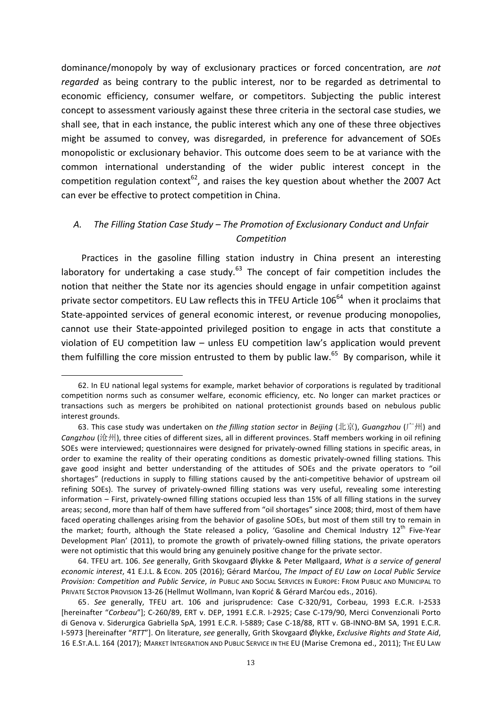dominance/monopoly by way of exclusionary practices or forced concentration, are *not regarded* as being contrary to the public interest, nor to be regarded as detrimental to economic efficiency, consumer welfare, or competitors. Subjecting the public interest concept to assessment variously against these three criteria in the sectoral case studies, we shall see, that in each instance, the public interest which any one of these three objectives might be assumed to convey, was disregarded, in preference for advancement of SOEs monopolistic or exclusionary behavior. This outcome does seem to be at variance with the common international understanding of the wider public interest concept in the competition regulation context $^{62}$ , and raises the key question about whether the 2007 Act can ever be effective to protect competition in China.

# A. The Filling Station Case Study – The Promotion of Exclusionary Conduct and Unfair *Competition*

Practices in the gasoline filling station industry in China present an interesting laboratory for undertaking a case study. $63$  The concept of fair competition includes the notion that neither the State nor its agencies should engage in unfair competition against private sector competitors. EU Law reflects this in TFEU Article  $106^{64}$  when it proclaims that State-appointed services of general economic interest, or revenue producing monopolies, cannot use their State-appointed privileged position to engage in acts that constitute a violation of EU competition law - unless EU competition law's application would prevent them fulfilling the core mission entrusted to them by public law.<sup>65</sup> By comparison, while it

 

64. TFEU art. 106. See generally, Grith Skovgaard Ølykke & Peter Møllgaard, *What is a service of general economic interest, 41 E.J.L. & Econ. 205 (2016); Gérard Marćou, The Impact of EU Law on Local Public Service* **Provision: Competition and Public Service, in PUBLIC AND SOCIAL SERVICES IN EUROPE: FROM PUBLIC AND MUNICIPAL TO** PRIVATE SECTOR PROVISION 13-26 (Hellmut Wollmann, Ivan Koprić & Gérard Marćou eds., 2016).

<sup>62.</sup> In EU national legal systems for example, market behavior of corporations is regulated by traditional competition norms such as consumer welfare, economic efficiency, etc. No longer can market practices or transactions such as mergers be prohibited on national protectionist grounds based on nebulous public interest grounds.

<sup>63.</sup> This case study was undertaken on the filling station sector in Beijing (北京), Guangzhou (广州) and Cangzhou (沧州), three cities of different sizes, all in different provinces. Staff members working in oil refining SOEs were interviewed; questionnaires were designed for privately-owned filling stations in specific areas, in order to examine the reality of their operating conditions as domestic privately-owned filling stations. This gave good insight and better understanding of the attitudes of SOEs and the private operators to "oil shortages" (reductions in supply to filling stations caused by the anti-competitive behavior of upstream oil refining SOEs). The survey of privately-owned filling stations was very useful, revealing some interesting information – First, privately-owned filling stations occupied less than 15% of all filling stations in the survey areas; second, more than half of them have suffered from "oil shortages" since 2008; third, most of them have faced operating challenges arising from the behavior of gasoline SOEs, but most of them still try to remain in the market; fourth, although the State released a policy, 'Gasoline and Chemical Industry 12<sup>th</sup> Five-Year Development Plan' (2011), to promote the growth of privately-owned filling stations, the private operators were not optimistic that this would bring any genuinely positive change for the private sector.

<sup>65.</sup> See generally, TFEU art. 106 and jurisprudence: Case C-320/91, Corbeau, 1993 E.C.R. I-2533 [hereinafter "Corbeau"]; C-260/89, ERT v. DEP, 1991 E.C.R. I-2925; Case C-179/90, Merci Convenzionali Porto di Genova v. Siderurgica Gabriella SpA, 1991 E.C.R. I-5889; Case C-18/88, RTT v. GB-INNO-BM SA, 1991 E.C.R. I-5973 [hereinafter "RTT"]. On literature, see generally, Grith Skovgaard Ølykke, *Exclusive Rights and State Aid*, 16 E.ST.A.L. 164 (2017); MARKET INTEGRATION AND PUBLIC SERVICE IN THE EU (Marise Cremona ed., 2011); THE EU LAW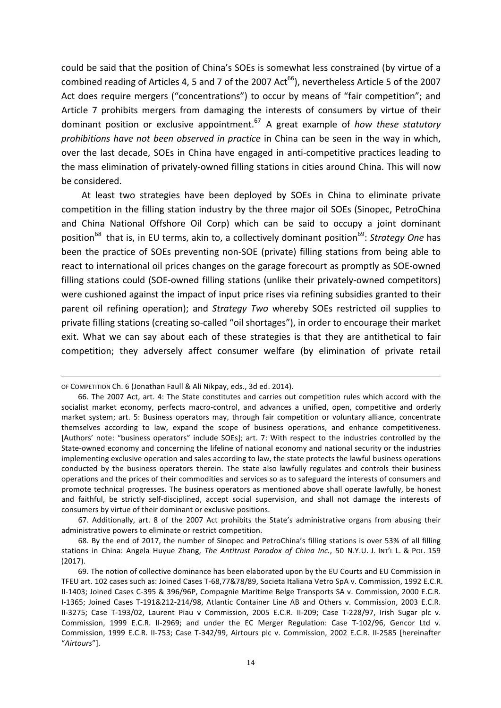could be said that the position of China's SOEs is somewhat less constrained (by virtue of a combined reading of Articles 4, 5 and 7 of the 2007 Act<sup>66</sup>), nevertheless Article 5 of the 2007 Act does require mergers ("concentrations") to occur by means of "fair competition"; and Article 7 prohibits mergers from damaging the interests of consumers by virtue of their dominant position or exclusive appointment.<sup>67</sup> A great example of *how these statutory prohibitions have not been observed in practice* in China can be seen in the way in which, over the last decade, SOEs in China have engaged in anti-competitive practices leading to the mass elimination of privately-owned filling stations in cities around China. This will now be considered.

At least two strategies have been deployed by SOEs in China to eliminate private competition in the filling station industry by the three major oil SOEs (Sinopec, PetroChina and China National Offshore Oil Corp) which can be said to occupy a joint dominant position<sup>68</sup> that is, in EU terms, akin to, a collectively dominant position<sup>69</sup>: Strategy One has been the practice of SOEs preventing non-SOE (private) filling stations from being able to react to international oil prices changes on the garage forecourt as promptly as SOE-owned filling stations could (SOE-owned filling stations (unlike their privately-owned competitors) were cushioned against the impact of input price rises via refining subsidies granted to their parent oil refining operation); and *Strategy Two* whereby SOEs restricted oil supplies to private filling stations (creating so-called "oil shortages"), in order to encourage their market exit. What we can say about each of these strategies is that they are antithetical to fair competition; they adversely affect consumer welfare (by elimination of private retail

<u> 1989 - Andrea Santa Alemania, amerikana amerikana amerikana amerikana amerikana amerikana amerikana amerikan</u>

67. Additionally, art. 8 of the 2007 Act prohibits the State's administrative organs from abusing their administrative powers to eliminate or restrict competition.

OF COMPETITION Ch. 6 (Jonathan Faull & Ali Nikpay, eds., 3d ed. 2014).

<sup>66.</sup> The 2007 Act, art. 4: The State constitutes and carries out competition rules which accord with the socialist market economy, perfects macro-control, and advances a unified, open, competitive and orderly market system; art. 5: Business operators may, through fair competition or voluntary alliance, concentrate themselves according to law, expand the scope of business operations, and enhance competitiveness. [Authors' note: "business operators" include SOEs]; art. 7: With respect to the industries controlled by the State-owned economy and concerning the lifeline of national economy and national security or the industries implementing exclusive operation and sales according to law, the state protects the lawful business operations conducted by the business operators therein. The state also lawfully regulates and controls their business operations and the prices of their commodities and services so as to safeguard the interests of consumers and promote technical progresses. The business operators as mentioned above shall operate lawfully, be honest and faithful, be strictly self-disciplined, accept social supervision, and shall not damage the interests of consumers by virtue of their dominant or exclusive positions.

<sup>68.</sup> By the end of 2017, the number of Sinopec and PetroChina's filling stations is over 53% of all filling stations in China: Angela Huyue Zhang, The Antitrust Paradox of China Inc., 50 N.Y.U. J. INT'L L. & POL. 159 (2017).

<sup>69.</sup> The notion of collective dominance has been elaborated upon by the EU Courts and EU Commission in TFEU art. 102 cases such as: Joined Cases T-68,77&78/89, Societa Italiana Vetro SpA v. Commission, 1992 E.C.R. II-1403; Joined Cases C-395 & 396/96P, Compagnie Maritime Belge Transports SA v. Commission, 2000 E.C.R. I-1365; Joined Cases T-191&212-214/98, Atlantic Container Line AB and Others v. Commission, 2003 E.C.R. II-3275; Case T-193/02, Laurent Piau v Commission, 2005 E.C.R. II-209; Case T-228/97, Irish Sugar plc v. Commission, 1999 E.C.R. II-2969; and under the EC Merger Regulation: Case T-102/96, Gencor Ltd v. Commission, 1999 E.C.R. II-753; Case T-342/99, Airtours plc v. Commission, 2002 E.C.R. II-2585 [hereinafter "*Airtours*"].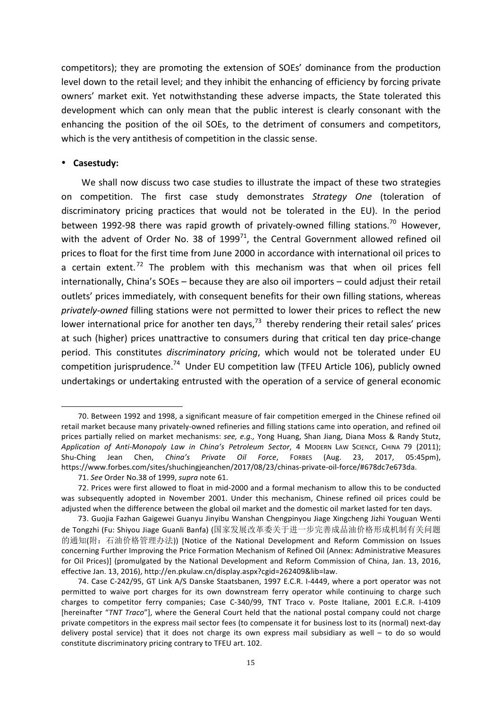competitors); they are promoting the extension of SOEs' dominance from the production level down to the retail level; and they inhibit the enhancing of efficiency by forcing private owners' market exit. Yet notwithstanding these adverse impacts, the State tolerated this development which can only mean that the public interest is clearly consonant with the enhancing the position of the oil SOEs, to the detriment of consumers and competitors, which is the very antithesis of competition in the classic sense.

# • **Casestudy:**

We shall now discuss two case studies to illustrate the impact of these two strategies on competition. The first case study demonstrates *Strategy One* (toleration of discriminatory pricing practices that would not be tolerated in the EU). In the period between 1992-98 there was rapid growth of privately-owned filling stations.<sup>70</sup> However, with the advent of Order No. 38 of  $1999^{71}$ , the Central Government allowed refined oil prices to float for the first time from June 2000 in accordance with international oil prices to a certain extent.<sup>72</sup> The problem with this mechanism was that when oil prices fell  $internationaly$ , China's SOEs – because they are also oil importers – could adjust their retail outlets' prices immediately, with consequent benefits for their own filling stations, whereas *privately-owned* filling stations were not permitted to lower their prices to reflect the new lower international price for another ten days, $^{73}$  thereby rendering their retail sales' prices at such (higher) prices unattractive to consumers during that critical ten day price-change period. This constitutes *discriminatory pricing*, which would not be tolerated under EU competition jurisprudence.<sup>74</sup> Under EU competition law (TFEU Article 106), publicly owned undertakings or undertaking entrusted with the operation of a service of general economic

 70. Between 1992 and 1998, a significant measure of fair competition emerged in the Chinese refined oil retail market because many privately-owned refineries and filling stations came into operation, and refined oil prices partially relied on market mechanisms: see, e.g., Yong Huang, Shan Jiang, Diana Moss & Randy Stutz, *Application of Anti-Monopoly Law in China's Petroleum Sector*, 4 MODERN LAW SCIENCE, CHINA 79 (2011); Shu-Ching Jean Chen, *China's Private Oil Force*, FORBES (Aug. 23, 2017, 05:45pm), https://www.forbes.com/sites/shuchingjeanchen/2017/08/23/chinas-private-oil-force/#678dc7e673da.

<sup>71.</sup> *See* Order No.38 of 1999, *supra* note 61.

<sup>72.</sup> Prices were first allowed to float in mid-2000 and a formal mechanism to allow this to be conducted was subsequently adopted in November 2001. Under this mechanism, Chinese refined oil prices could be adjusted when the difference between the global oil market and the domestic oil market lasted for ten days.

<sup>73.</sup> Guojia Fazhan Gaigewei Guanyu Jinyibu Wanshan Chengpinyou Jiage Xingcheng Jizhi Youguan Wenti de Tongzhi (Fu: Shiyou Jiage Guanli Banfa) (国家发展改革委关于进一步完善成品油价格形成机制有关问题 的通知(附: 石油价格管理办法)) [Notice of the National Development and Reform Commission on Issues concerning Further Improving the Price Formation Mechanism of Refined Oil (Annex: Administrative Measures for Oil Prices)] (promulgated by the National Development and Reform Commission of China, Jan. 13, 2016, effective Jan. 13, 2016), http://en.pkulaw.cn/display.aspx?cgid=262409&lib=law.

<sup>74.</sup> Case C-242/95, GT Link A/S Danske Staatsbanen, 1997 E.C.R. I-4449, where a port operator was not permitted to waive port charges for its own downstream ferry operator while continuing to charge such charges to competitor ferry companies; Case C-340/99, TNT Traco v. Poste Italiane, 2001 E.C.R. I-4109 [hereinafter "TNT Traco"], where the General Court held that the national postal company could not charge private competitors in the express mail sector fees (to compensate it for business lost to its (normal) next-day delivery postal service) that it does not charge its own express mail subsidiary as well  $-$  to do so would constitute discriminatory pricing contrary to TFEU art. 102.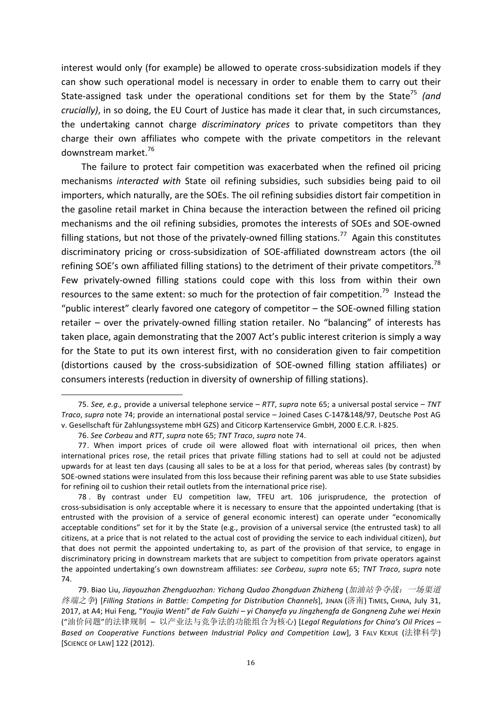interest would only (for example) be allowed to operate cross-subsidization models if they can show such operational model is necessary in order to enable them to carry out their State-assigned task under the operational conditions set for them by the State<sup>75</sup> (and *crucially)*, in so doing, the EU Court of Justice has made it clear that, in such circumstances, the undertaking cannot charge *discriminatory prices* to private competitors than they charge their own affiliates who compete with the private competitors in the relevant downstream market.<sup>76</sup>

The failure to protect fair competition was exacerbated when the refined oil pricing mechanisms *interacted with* State oil refining subsidies, such subsidies being paid to oil importers, which naturally, are the SOEs. The oil refining subsidies distort fair competition in the gasoline retail market in China because the interaction between the refined oil pricing mechanisms and the oil refining subsidies, promotes the interests of SOEs and SOE-owned filling stations, but not those of the privately-owned filling stations.<sup>77</sup> Again this constitutes discriminatory pricing or cross-subsidization of SOE-affiliated downstream actors (the oil refining SOE's own affiliated filling stations) to the detriment of their private competitors.<sup>78</sup> Few privately-owned filling stations could cope with this loss from within their own resources to the same extent: so much for the protection of fair competition.<sup>79</sup> Instead the "public interest" clearly favored one category of competitor  $-$  the SOE-owned filling station retailer – over the privately-owned filling station retailer. No "balancing" of interests has taken place, again demonstrating that the 2007 Act's public interest criterion is simply a way for the State to put its own interest first, with no consideration given to fair competition (distortions caused by the cross-subsidization of SOE-owned filling station affiliates) or consumers interests (reduction in diversity of ownership of filling stations).

<sup>75.</sup> See, e.g., provide a universal telephone service – RTT, *supra* note 65; a universal postal service – TNT *Traco*, *supra* note 74; provide an international postal service - Joined Cases C-147&148/97, Deutsche Post AG v. Gesellschaft für Zahlungssysteme mbH GZS) and Citicorp Kartenservice GmbH, 2000 E.C.R. I-825.

<sup>76.</sup> *See Corbeau* and *RTT*, *supra* note 65; *TNT Traco*, *supra* note 74.

<sup>77.</sup> When import prices of crude oil were allowed float with international oil prices, then when international prices rose, the retail prices that private filling stations had to sell at could not be adjusted upwards for at least ten days (causing all sales to be at a loss for that period, whereas sales (by contrast) by SOE-owned stations were insulated from this loss because their refining parent was able to use State subsidies for refining oil to cushion their retail outlets from the international price rise).

<sup>78 .</sup> By contrast under EU competition law, TFEU art. 106 jurisprudence, the protection of cross-subsidisation is only acceptable where it is necessary to ensure that the appointed undertaking (that is entrusted with the provision of a service of general economic interest) can operate under "economically acceptable conditions" set for it by the State (e.g., provision of a universal service (the entrusted task) to all citizens, at a price that is not related to the actual cost of providing the service to each individual citizen), but that does not permit the appointed undertaking to, as part of the provision of that service, to engage in discriminatory pricing in downstream markets that are subject to competition from private operators against the appointed undertaking's own downstream affiliates: see Corbeau, supra note 65; TNT Traco, supra note 74.

<sup>79.</sup> Biao Liu, *Jiayouzhan Zhengduozhan: Yichang Qudao Zhongduan Zhizheng* (加油站争夺战:一场渠道 终端之争) [Filling Stations in Battle: Competing for Distribution Channels], JINAN (济南) TIMES, CHINA, July 31, 2017, at A4; Hui Feng, "Youjia Wenti" de Falv Guizhi – yi Chanyefa yu Jingzhengfa de Gongneng Zuhe wei Hexin ("油价问题"的法律规制 – 以产业法与竞争法的功能组合为核心) [*Legal Regulations for China's Oil Prices – Based* on Cooperative Functions between Industrial Policy and Competition Law], 3 FALV KEXUE (法律科学) [SCIENCE OF LAW] 122 (2012).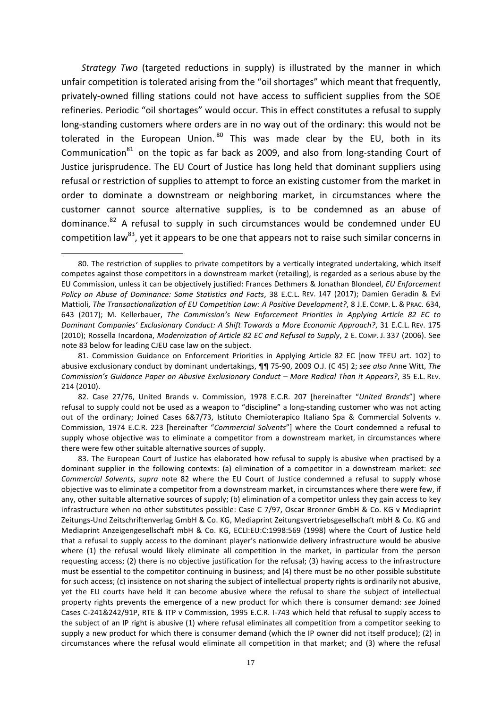*Strategy Two* (targeted reductions in supply) is illustrated by the manner in which unfair competition is tolerated arising from the "oil shortages" which meant that frequently, privately-owned filling stations could not have access to sufficient supplies from the SOE refineries. Periodic "oil shortages" would occur. This in effect constitutes a refusal to supply long-standing customers where orders are in no way out of the ordinary: this would not be tolerated in the European Union.  $80$  This was made clear by the EU, both in its Communication $^{81}$  on the topic as far back as 2009, and also from long-standing Court of Justice jurisprudence. The EU Court of Justice has long held that dominant suppliers using refusal or restriction of supplies to attempt to force an existing customer from the market in order to dominate a downstream or neighboring market, in circumstances where the customer cannot source alternative supplies, is to be condemned as an abuse of dominance.<sup>82</sup> A refusal to supply in such circumstances would be condemned under EU competition  $\text{law}^{83}$ , yet it appears to be one that appears not to raise such similar concerns in

<sup>80.</sup> The restriction of supplies to private competitors by a vertically integrated undertaking, which itself competes against those competitors in a downstream market (retailing), is regarded as a serious abuse by the EU Commission, unless it can be objectively justified: Frances Dethmers & Jonathan Blondeel, *EU Enforcement Policy* on *Abuse of Dominance: Some Statistics and Facts*, 38 E.C.L. REV. 147 (2017); Damien Geradin & Evi Mattioli, The Transactionalization of EU Competition Law: A Positive Development?, 8 J.E. Comp. L. & PRAC. 634, 643 (2017); M. Kellerbauer, *The Commission's New Enforcement Priorities in Applying Article 82 EC to Dominant Companies' Exclusionary Conduct: A Shift Towards a More Economic Approach?*, 31 E.C.L. REV. 175 (2010); Rossella Incardona, *Modernization of Article 82 EC and Refusal to Supply*, 2 E. COMP. J. 337 (2006). See note 83 below for leading CJEU case law on the subject.

<sup>81.</sup> Commission Guidance on Enforcement Priorities in Applying Article 82 EC [now TFEU art. 102] to abusive exclusionary conduct by dominant undertakings,  $\P\P$  75-90, 2009 O.J. (C 45) 2; see also Anne Witt, The *Commission's Guidance Paper on Abusive Exclusionary Conduct – More Radical Than it Appears?*, 35 E.L. REV. 214 (2010).

<sup>82.</sup> Case 27/76, United Brands v. Commission, 1978 E.C.R. 207 [hereinafter "United Brands"] where refusal to supply could not be used as a weapon to "discipline" a long-standing customer who was not acting out of the ordinary; Joined Cases 6&7/73, Istituto Chemioterapico Italiano Spa & Commercial Solvents v. Commission, 1974 E.C.R. 223 [hereinafter "Commercial Solvents"] where the Court condemned a refusal to supply whose objective was to eliminate a competitor from a downstream market, in circumstances where there were few other suitable alternative sources of supply.

<sup>83.</sup> The European Court of Justice has elaborated how refusal to supply is abusive when practised by a dominant supplier in the following contexts: (a) elimination of a competitor in a downstream market: see *Commercial Solvents, supra* note 82 where the EU Court of Justice condemned a refusal to supply whose objective was to eliminate a competitor from a downstream market, in circumstances where there were few, if any, other suitable alternative sources of supply; (b) elimination of a competitor unless they gain access to key infrastructure when no other substitutes possible: Case C 7/97, Oscar Bronner GmbH & Co. KG v Mediaprint Zeitungs-Und Zeitschriftenverlag GmbH & Co. KG, Mediaprint Zeitungsvertriebsgesellschaft mbH & Co. KG and Mediaprint Anzeigengesellschaft mbH & Co. KG, ECLI:EU:C:1998:569 (1998) where the Court of Justice held that a refusal to supply access to the dominant player's nationwide delivery infrastructure would be abusive where (1) the refusal would likely eliminate all competition in the market, in particular from the person requesting access; (2) there is no objective justification for the refusal; (3) having access to the infrastructure must be essential to the competitor continuing in business; and (4) there must be no other possible substitute for such access; (c) insistence on not sharing the subject of intellectual property rights is ordinarily not abusive, yet the EU courts have held it can become abusive where the refusal to share the subject of intellectual property rights prevents the emergence of a new product for which there is consumer demand: *see* Joined Cases C-241&242/91P, RTE & ITP v Commission, 1995 E.C.R. I-743 which held that refusal to supply access to the subject of an IP right is abusive (1) where refusal eliminates all competition from a competitor seeking to supply a new product for which there is consumer demand (which the IP owner did not itself produce); (2) in circumstances where the refusal would eliminate all competition in that market; and (3) where the refusal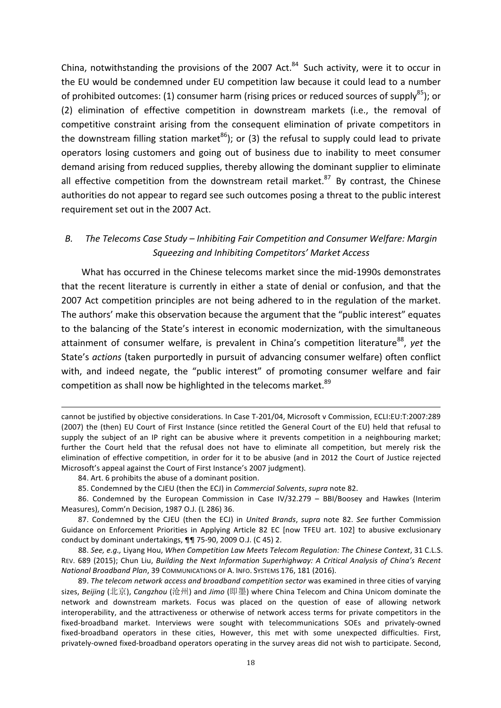China, notwithstanding the provisions of the 2007 Act. $84$  Such activity, were it to occur in the EU would be condemned under EU competition law because it could lead to a number of prohibited outcomes: (1) consumer harm (rising prices or reduced sources of supply<sup>85</sup>); or (2) elimination of effective competition in downstream markets (i.e., the removal of competitive constraint arising from the consequent elimination of private competitors in the downstream filling station market<sup>86</sup>); or (3) the refusal to supply could lead to private operators losing customers and going out of business due to inability to meet consumer demand arising from reduced supplies, thereby allowing the dominant supplier to eliminate all effective competition from the downstream retail market. $87$  By contrast, the Chinese authorities do not appear to regard see such outcomes posing a threat to the public interest requirement set out in the 2007 Act.

# B. The Telecoms Case Study – Inhibiting Fair Competition and Consumer Welfare: Margin *Squeezing and Inhibiting Competitors' Market Access*

What has occurred in the Chinese telecoms market since the mid-1990s demonstrates that the recent literature is currently in either a state of denial or confusion, and that the 2007 Act competition principles are not being adhered to in the regulation of the market. The authors' make this observation because the argument that the "public interest" equates to the balancing of the State's interest in economic modernization, with the simultaneous attainment of consumer welfare, is prevalent in China's competition literature<sup>88</sup>, yet the State's *actions* (taken purportedly in pursuit of advancing consumer welfare) often conflict with, and indeed negate, the "public interest" of promoting consumer welfare and fair competition as shall now be highlighted in the telecoms market.<sup>89</sup>

<u> 1989 - Andrea Santa Alemania, amerikana amerikana amerikana amerikana amerikana amerikana amerikana amerikan</u>

88. See, e.g., Liyang Hou, When Competition Law Meets Telecom Regulation: The Chinese Context, 31 C.L.S. REV. 689 (2015); Chun Liu, *Building the Next Information Superhighway: A Critical Analysis of China's Recent National Broadband Plan,* 39 COMMUNICATIONS OF A. INFO. SYSTEMS 176, 181 (2016).

cannot be justified by objective considerations. In Case T-201/04, Microsoft v Commission, ECLI:EU:T:2007:289 (2007) the (then) EU Court of First Instance (since retitled the General Court of the EU) held that refusal to supply the subject of an IP right can be abusive where it prevents competition in a neighbouring market; further the Court held that the refusal does not have to eliminate all competition, but merely risk the elimination of effective competition, in order for it to be abusive (and in 2012 the Court of Justice rejected Microsoft's appeal against the Court of First Instance's 2007 judgment).

<sup>84.</sup> Art. 6 prohibits the abuse of a dominant position.

<sup>85.</sup> Condemned by the CJEU (then the ECJ) in *Commercial Solvents*, *supra* note 82.

<sup>86.</sup> Condemned by the European Commission in Case IV/32.279 - BBI/Boosey and Hawkes (Interim Measures), Comm'n Decision, 1987 O.J. (L 286) 36.

<sup>87.</sup> Condemned by the CJEU (then the ECJ) in *United Brands, supra* note 82. See further Commission Guidance on Enforcement Priorities in Applying Article 82 EC [now TFEU art. 102] to abusive exclusionary conduct by dominant undertakings,  $\P\P$  75-90, 2009 O.J. (C 45) 2.

<sup>89.</sup> The telecom network access and broadband competition sector was examined in three cities of varying sizes, Beijing (北京), Cangzhou (沧州) and Jimo (即墨) where China Telecom and China Unicom dominate the network and downstream markets. Focus was placed on the question of ease of allowing network interoperability, and the attractiveness or otherwise of network access terms for private competitors in the fixed-broadband market. Interviews were sought with telecommunications SOEs and privately-owned fixed-broadband operators in these cities, However, this met with some unexpected difficulties. First, privately-owned fixed-broadband operators operating in the survey areas did not wish to participate. Second,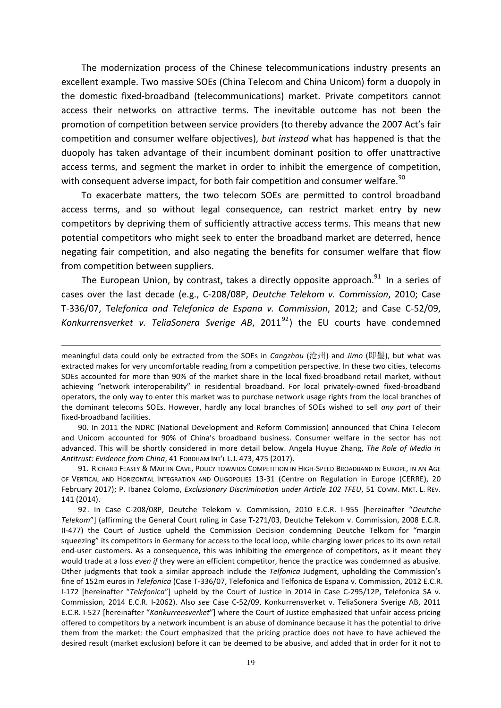The modernization process of the Chinese telecommunications industry presents an excellent example. Two massive SOEs (China Telecom and China Unicom) form a duopoly in the domestic fixed-broadband (telecommunications) market. Private competitors cannot access their networks on attractive terms. The inevitable outcome has not been the promotion of competition between service providers (to thereby advance the 2007 Act's fair competition and consumer welfare objectives), but instead what has happened is that the duopoly has taken advantage of their incumbent dominant position to offer unattractive access terms, and segment the market in order to inhibit the emergence of competition, with consequent adverse impact, for both fair competition and consumer welfare.<sup>90</sup>

To exacerbate matters, the two telecom SOEs are permitted to control broadband access terms, and so without legal consequence, can restrict market entry by new competitors by depriving them of sufficiently attractive access terms. This means that new potential competitors who might seek to enter the broadband market are deterred, hence negating fair competition, and also negating the benefits for consumer welfare that flow from competition between suppliers.

The European Union, by contrast, takes a directly opposite approach. $91$  In a series of cases over the last decade (e.g., C-208/08P, *Deutche Telekom v. Commission*, 2010; Case T-336/07, Te*lefonica and Telefonica de Espana v. Commission*, 2012; and Case C-52/09, *Konkurrensverket v. TeliaSonera Sverige AB*, 2011<sup>92</sup>) the EU courts have condemned

<u> 1989 - Andrea Santa Alemania, amerikana amerikana amerikana amerikana amerikana amerikana amerikana amerikan</u>

90. In 2011 the NDRC (National Development and Reform Commission) announced that China Telecom and Unicom accounted for 90% of China's broadband business. Consumer welfare in the sector has not advanced. This will be shortly considered in more detail below. Angela Huyue Zhang, The Role of Media in Antitrust: Evidence from China, 41 FORDHAM INT'L L.J. 473, 475 (2017).

91. RICHARD FEASEY & MARTIN CAVE, POLICY TOWARDS COMPETITION IN HIGH-SPEED BROADBAND IN EUROPE, IN AN AGE OF VERTICAL AND HORIZONTAL INTEGRATION AND OLIGOPOLIES 13-31 (Centre on Regulation in Europe (CERRE), 20 February 2017); P. Ibanez Colomo, *Exclusionary Discrimination under Article 102 TFEU*, 51 COMM. MKT. L. REV. 141 (2014).

92. In Case C-208/08P, Deutche Telekom v. Commission, 2010 E.C.R. I-955 [hereinafter "Deutche Telekom"] (affirming the General Court ruling in Case T-271/03, Deutche Telekom v. Commission, 2008 E.C.R. II-477) the Court of Justice upheld the Commission Decision condemning Deutche Telkom for "margin squeezing" its competitors in Germany for access to the local loop, while charging lower prices to its own retail end-user customers. As a consequence, this was inhibiting the emergence of competitors, as it meant they would trade at a loss *even* if they were an efficient competitor, hence the practice was condemned as abusive. Other judgments that took a similar approach include the *Telfonica Judgment*, upholding the Commission's fine of 152m euros in *Telefonica* (Case T-336/07, Telefonica and Telfonica de Espana v. Commission, 2012 E.C.R. I-172 [hereinafter "Telefonica"] upheld by the Court of Justice in 2014 in Case C-295/12P, Telefonica SA v. Commission, 2014 E.C.R. I-2062). Also see Case C-52/09, Konkurrensverket v. TeliaSonera Sverige AB, 2011 E.C.R. I-527 [hereinafter "*Konkurrensverket*"] where the Court of Justice emphasized that unfair access pricing offered to competitors by a network incumbent is an abuse of dominance because it has the potential to drive them from the market: the Court emphasized that the pricing practice does not have to have achieved the desired result (market exclusion) before it can be deemed to be abusive, and added that in order for it not to

meaningful data could only be extracted from the SOEs in *Cangzhou* (沧州) and *Jimo* (即墨), but what was extracted makes for very uncomfortable reading from a competition perspective. In these two cities, telecoms SOEs accounted for more than 90% of the market share in the local fixed-broadband retail market, without achieving "network interoperability" in residential broadband. For local privately-owned fixed-broadband operators, the only way to enter this market was to purchase network usage rights from the local branches of the dominant telecoms SOEs. However, hardly any local branches of SOEs wished to sell *any part* of their fixed-broadband facilities.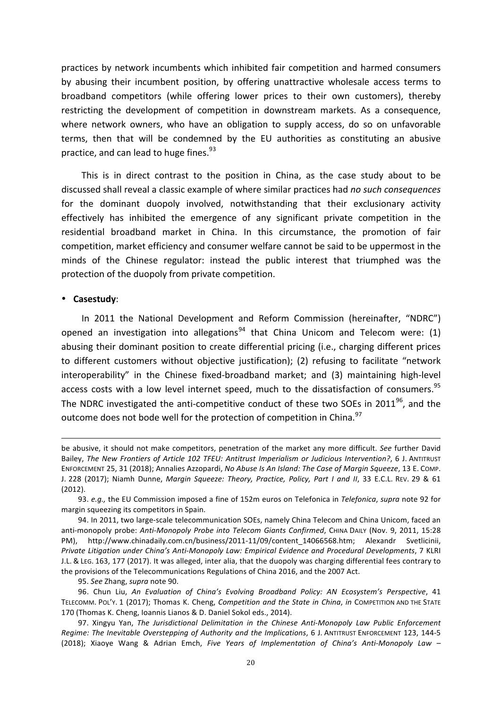practices by network incumbents which inhibited fair competition and harmed consumers by abusing their incumbent position, by offering unattractive wholesale access terms to broadband competitors (while offering lower prices to their own customers), thereby restricting the development of competition in downstream markets. As a consequence, where network owners, who have an obligation to supply access, do so on unfavorable terms, then that will be condemned by the EU authorities as constituting an abusive practice, and can lead to huge fines.<sup>93</sup>

This is in direct contrast to the position in China, as the case study about to be discussed shall reveal a classic example of where similar practices had *no such consequences* for the dominant duopoly involved, notwithstanding that their exclusionary activity effectively has inhibited the emergence of any significant private competition in the residential broadband market in China. In this circumstance, the promotion of fair competition, market efficiency and consumer welfare cannot be said to be uppermost in the minds of the Chinese regulator: instead the public interest that triumphed was the protection of the duopoly from private competition.

# • **Casestudy**:

In 2011 the National Development and Reform Commission (hereinafter, "NDRC") opened an investigation into allegations<sup>94</sup> that China Unicom and Telecom were: (1) abusing their dominant position to create differential pricing (i.e., charging different prices to different customers without objective justification); (2) refusing to facilitate "network interoperability" in the Chinese fixed-broadband market; and (3) maintaining high-level access costs with a low level internet speed, much to the dissatisfaction of consumers.<sup>95</sup> The NDRC investigated the anti-competitive conduct of these two SOEs in 2011<sup>96</sup>, and the outcome does not bode well for the protection of competition in China.<sup>97</sup>

<u> 1989 - Andrea Santa Andrea Andrea Andrea Andrea Andrea Andrea Andrea Andrea Andrea Andrea Andrea Andrea Andr</u>

95. See Zhang, *supra* note 90.

be abusive, it should not make competitors, penetration of the market any more difficult. See further David Bailey, The New Frontiers of Article 102 TFEU: Antitrust Imperialism or Judicious Intervention?, 6 J. ANTITRUST ENFORCEMENT 25, 31 (2018); Annalies Azzopardi, *No Abuse Is An Island: The Case of Margin Squeeze*, 13 E. COMP. J. 228 (2017); Niamh Dunne, *Margin Squeeze: Theory, Practice, Policy, Part I and II*, 33 E.C.L. REV. 29 & 61 (2012).

<sup>93.</sup> *e.g.*, the EU Commission imposed a fine of 152m euros on Telefonica in *Telefonica*, *supra* note 92 for margin squeezing its competitors in Spain.

<sup>94.</sup> In 2011, two large-scale telecommunication SOEs, namely China Telecom and China Unicom, faced an anti-monopoly probe: Anti-Monopoly Probe into Telecom Giants Confirmed, CHINA DAILY (Nov. 9, 2011, 15:28 PM), http://www.chinadaily.com.cn/business/2011-11/09/content\_14066568.htm; Alexandr Svetlicinii, *Private Litigation under China's Anti-Monopoly Law: Empirical Evidence and Procedural Developments*, 7 KLRI J.L. & LEG. 163, 177 (2017). It was alleged, inter alia, that the duopoly was charging differential fees contrary to the provisions of the Telecommunications Regulations of China 2016, and the 2007 Act.

<sup>96.</sup> Chun Liu, An Evaluation of China's Evolving Broadband Policy: AN Ecosystem's Perspective, 41 TELECOMM. POL'Y. 1 (2017); Thomas K. Cheng, *Competition and the State in China*, *in* COMPETITION AND THE STATE 170 (Thomas K. Cheng, Ioannis Lianos & D. Daniel Sokol eds., 2014).

<sup>97.</sup> Xingyu Yan, *The Jurisdictional Delimitation in the Chinese Anti-Monopoly Law Public Enforcement Regime: The Inevitable Overstepping of Authority and the Implications*, 6 J. ANTITRUST ENFORCEMENT 123, 144-5 (2018); Xiaoye Wang & Adrian Emch, *Five Years of Implementation of China's Anti-Monopoly Law* –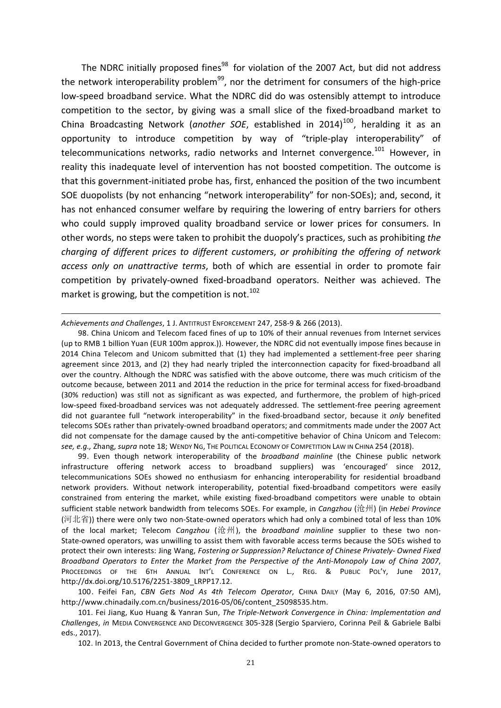The NDRC initially proposed fines<sup>98</sup> for violation of the 2007 Act, but did not address the network interoperability problem<sup>99</sup>, nor the detriment for consumers of the high-price low-speed broadband service. What the NDRC did do was ostensibly attempt to introduce competition to the sector, by giving was a small slice of the fixed-broadband market to China Broadcasting Network (another SOE, established in 2014)<sup>100</sup>, heralding it as an opportunity to introduce competition by way of "triple-play interoperability" of telecommunications networks, radio networks and Internet convergence.<sup>101</sup> However, in reality this inadequate level of intervention has not boosted competition. The outcome is that this government-initiated probe has, first, enhanced the position of the two incumbent SOE duopolists (by not enhancing "network interoperability" for non-SOEs); and, second, it has not enhanced consumer welfare by requiring the lowering of entry barriers for others who could supply improved quality broadband service or lower prices for consumers. In other words, no steps were taken to prohibit the duopoly's practices, such as prohibiting the *charging* of different prices to different customers, or prohibiting the offering of network *access only on unattractive terms*, both of which are essential in order to promote fair competition by privately-owned fixed-broadband operators. Neither was achieved. The market is growing, but the competition is not.<sup>102</sup>

<u> 1989 - Andrea Santa Alemania, amerikana amerikana amerikana amerikana amerikana amerikana amerikana amerikan</u>

99. Even though network interoperability of the *broadband mainline* (the Chinese public network infrastructure offering network access to broadband suppliers) was 'encouraged' since 2012, telecommunications SOEs showed no enthusiasm for enhancing interoperability for residential broadband network providers. Without network interoperability, potential fixed-broadband competitors were easily constrained from entering the market, while existing fixed-broadband competitors were unable to obtain sufficient stable network bandwidth from telecoms SOEs. For example, in *Cangzhou* (沧州) (in *Hebei Province* (河北省)) there were only two non-State-owned operators which had only a combined total of less than 10% of the local market: Telecom *Cangzhou* (沧州), the *broadband mainline* supplier to these two non-State-owned operators, was unwilling to assist them with favorable access terms because the SOEs wished to protect their own interests: Jing Wang, *Fostering or Suppression?* Reluctance of Chinese Privately- Owned Fixed *Broadband Operators to Enter the Market from the Perspective of the Anti-Monopoly Law of China 2007*, PROCEEDINGS OF THE 6TH ANNUAL INT'L CONFERENCE ON L., REG. & PUBLIC POL'Y, June 2017, http://dx.doi.org/10.5176/2251-3809\_LRPP17.12.

100. Feifei Fan, CBN Gets Nod As 4th Telecom Operator, CHINA DAILY (May 6, 2016, 07:50 AM), http://www.chinadaily.com.cn/business/2016-05/06/content\_25098535.htm.

102. In 2013, the Central Government of China decided to further promote non-State-owned operators to

*Achievements and Challenges*, 1 J. ANTITRUST ENFORCEMENT 247, 258-9 & 266 (2013).

<sup>98.</sup> China Unicom and Telecom faced fines of up to 10% of their annual revenues from Internet services (up to RMB 1 billion Yuan (EUR 100m approx.)). However, the NDRC did not eventually impose fines because in 2014 China Telecom and Unicom submitted that (1) they had implemented a settlement-free peer sharing agreement since 2013, and (2) they had nearly tripled the interconnection capacity for fixed-broadband all over the country. Although the NDRC was satisfied with the above outcome, there was much criticism of the outcome because, between 2011 and 2014 the reduction in the price for terminal access for fixed-broadband (30% reduction) was still not as significant as was expected, and furthermore, the problem of high-priced low-speed fixed-broadband services was not adequately addressed. The settlement-free peering agreement did not guarantee full "network interoperability" in the fixed-broadband sector, because it only benefited telecoms SOEs rather than privately-owned broadband operators; and commitments made under the 2007 Act did not compensate for the damage caused by the anti-competitive behavior of China Unicom and Telecom: see, e.g., Zhang, supra note 18; WENDY NG, THE POLITICAL ECONOMY OF COMPETITION LAW IN CHINA 254 (2018).

<sup>101.</sup> Fei Jiang, Kuo Huang & Yanran Sun, *The Triple-Network Convergence in China: Implementation and Challenges*, *in* MEDIA CONVERGENCE AND DECONVERGENCE 305-328 (Sergio Sparviero, Corinna Peil & Gabriele Balbi eds., 2017).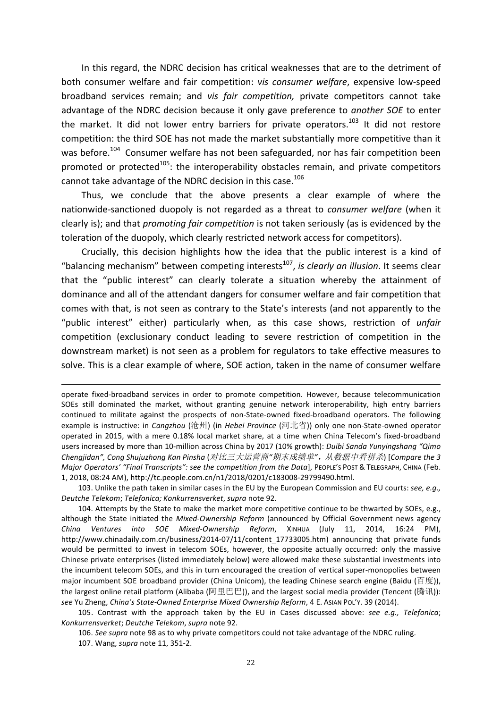In this regard, the NDRC decision has critical weaknesses that are to the detriment of both consumer welfare and fair competition: *vis consumer welfare*, expensive low-speed broadband services remain; and *vis fair competition*, private competitors cannot take advantage of the NDRC decision because it only gave preference to *another SOE* to enter the market. It did not lower entry barriers for private operators.<sup>103</sup> It did not restore competition: the third SOE has not made the market substantially more competitive than it was before.<sup>104</sup> Consumer welfare has not been safeguarded, nor has fair competition been promoted or protected<sup>105</sup>: the interoperability obstacles remain, and private competitors cannot take advantage of the NDRC decision in this case.<sup>106</sup>

Thus, we conclude that the above presents a clear example of where the nationwide-sanctioned duopoly is not regarded as a threat to *consumer* welfare (when it clearly is); and that *promoting fair competition* is not taken seriously (as is evidenced by the toleration of the duopoly, which clearly restricted network access for competitors).

Crucially, this decision highlights how the idea that the public interest is a kind of "balancing mechanism" between competing interests<sup>107</sup>, *is clearly an illusion*. It seems clear that the "public interest" can clearly tolerate a situation whereby the attainment of dominance and all of the attendant dangers for consumer welfare and fair competition that comes with that, is not seen as contrary to the State's interests (and not apparently to the "public interest" either) particularly when, as this case shows, restriction of *unfair* competition (exclusionary conduct leading to severe restriction of competition in the downstream market) is not seen as a problem for regulators to take effective measures to solve. This is a clear example of where, SOE action, taken in the name of consumer welfare

<u> 1989 - Andrea Santa Andrea Andrea Andrea Andrea Andrea Andrea Andrea Andrea Andrea Andrea Andrea Andrea Andr</u>

103. Unlike the path taken in similar cases in the EU by the European Commission and EU courts: see, e.g., *Deutche Telekom*; *Telefonica; Konkurrensverket*, *supra* note 92.

104. Attempts by the State to make the market more competitive continue to be thwarted by SOEs, e.g., although the State initiated the Mixed-Ownership Reform (announced by Official Government news agency *China Ventures into SOE Mixed-Ownership Reform*, XINHUA (July 11, 2014, 16:24 PM), http://www.chinadaily.com.cn/business/2014-07/11/content\_17733005.htm) announcing that private funds would be permitted to invest in telecom SOEs, however, the opposite actually occurred: only the massive Chinese private enterprises (listed immediately below) were allowed make these substantial investments into the incumbent telecom SOEs, and this in turn encouraged the creation of vertical super-monopolies between major incumbent SOE broadband provider (China Unicom), the leading Chinese search engine (Baidu (百度)), the largest online retail platform (Alibaba (阿里巴巴)), and the largest social media provider (Tencent (腾讯)): see Yu Zheng, *China's State-Owned Enterprise Mixed Ownership Reform*, 4 E. Asian PoL'y. 39 (2014).

105. Contrast with the approach taken by the EU in Cases discussed above: see e.g., Telefonica; *Konkurrensverket*; *Deutche Telekom*, *supra* note 92.

106. See supra note 98 as to why private competitors could not take advantage of the NDRC ruling.

107. Wang, *supra* note 11, 351-2.

operate fixed-broadband services in order to promote competition. However, because telecommunication SOEs still dominated the market, without granting genuine network interoperability, high entry barriers continued to militate against the prospects of non-State-owned fixed-broadband operators. The following example is instructive: in *Cangzhou* (沧州) (in *Hebei Province* (河北省)) only one non-State-owned operator operated in 2015, with a mere 0.18% local market share, at a time when China Telecom's fixed-broadband users increased by more than 10-million across China by 2017 (10% growth): *Duibi Sanda Yunyingshang "Qimo Chengjidan", Cong Shujuzhong Kan Pinsha* (对比三大运营商*"*期末成绩单*"*,从数据中看拼杀) [*Compare the 3 Major* Operators' "Final Transcripts": see the competition from the Data], PEOPLE'S POST & TELEGRAPH, CHINA (Feb. 1, 2018, 08:24 AM), http://tc.people.com.cn/n1/2018/0201/c183008-29799490.html.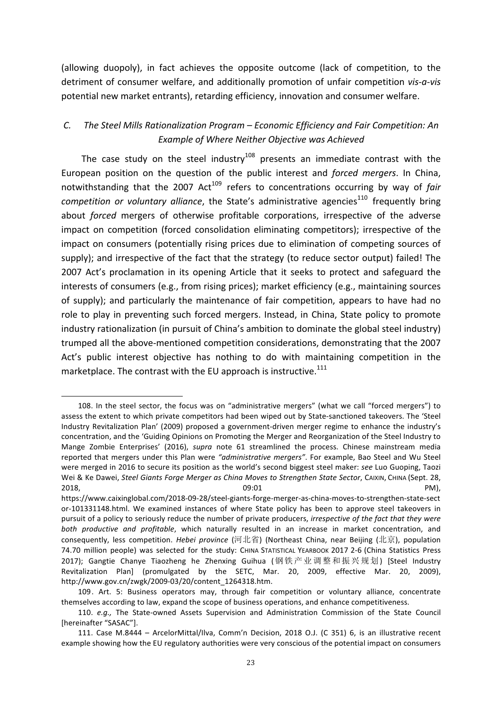(allowing duopoly), in fact achieves the opposite outcome (lack of competition, to the detriment of consumer welfare, and additionally promotion of unfair competition *vis-a-vis* potential new market entrants), retarding efficiency, innovation and consumer welfare.

# *C.* The Steel Mills Rationalization Program – Economic Efficiency and Fair Competition: An *Example of Where Neither Objective was Achieved*

The case study on the steel industry<sup>108</sup> presents an immediate contrast with the European position on the question of the public interest and *forced mergers*. In China, notwithstanding that the 2007 Act<sup>109</sup> refers to concentrations occurring by way of *fair competition or voluntary alliance*, the State's administrative agencies<sup>110</sup> frequently bring about *forced* mergers of otherwise profitable corporations, irrespective of the adverse impact on competition (forced consolidation eliminating competitors); irrespective of the impact on consumers (potentially rising prices due to elimination of competing sources of supply); and irrespective of the fact that the strategy (to reduce sector output) failed! The 2007 Act's proclamation in its opening Article that it seeks to protect and safeguard the interests of consumers (e.g., from rising prices); market efficiency (e.g., maintaining sources of supply); and particularly the maintenance of fair competition, appears to have had no role to play in preventing such forced mergers. Instead, in China, State policy to promote industry rationalization (in pursuit of China's ambition to dominate the global steel industry) trumped all the above-mentioned competition considerations, demonstrating that the 2007 Act's public interest objective has nothing to do with maintaining competition in the marketplace. The contrast with the EU approach is instructive. $^{111}$ 

<sup>108.</sup> In the steel sector, the focus was on "administrative mergers" (what we call "forced mergers") to assess the extent to which private competitors had been wiped out by State-sanctioned takeovers. The 'Steel Industry Revitalization Plan' (2009) proposed a government-driven merger regime to enhance the industry's concentration, and the 'Guiding Opinions on Promoting the Merger and Reorganization of the Steel Industry to Mange Zombie Enterprises' (2016), *supra* note 61 streamlined the process. Chinese mainstream media reported that mergers under this Plan were "administrative mergers". For example, Bao Steel and Wu Steel were merged in 2016 to secure its position as the world's second biggest steel maker: see Luo Guoping, Taozi Wei & Ke Dawei, *Steel Giants Forge Merger as China Moves to Strengthen State Sector*, CAIXIN, CHINA (Sept. 28,  $2018$ , PM),  $09:01$  PM),  $PM$ 

https://www.caixinglobal.com/2018-09-28/steel-giants-forge-merger-as-china-moves-to-strengthen-state-sect or-101331148.html. We examined instances of where State policy has been to approve steel takeovers in pursuit of a policy to seriously reduce the number of private producers, *irrespective of the fact that they were both* productive and profitable, which naturally resulted in an increase in market concentration, and consequently, less competition. *Hebei province* (河北省) (Northeast China, near Beijing (北京), population 74.70 million people) was selected for the study: CHINA STATISTICAL YEARBOOK 2017 2-6 (China Statistics Press 2017); Gangtie Chanye Tiaozheng he Zhenxing Guihua (钢铁产业调整和振兴规划) [Steel Industry Revitalization Plan] (promulgated by the SETC, Mar. 20, 2009, effective Mar. 20, 2009), http://www.gov.cn/zwgk/2009-03/20/content\_1264318.htm.

<sup>109.</sup> Art. 5: Business operators may, through fair competition or voluntary alliance, concentrate themselves according to law, expand the scope of business operations, and enhance competitiveness.

<sup>110.</sup> *e.g.*, The State-owned Assets Supervision and Administration Commission of the State Council [hereinafter "SASAC"].

<sup>111.</sup> Case M.8444 – ArcelorMittal/Ilva, Comm'n Decision, 2018 O.J. (C 351) 6, is an illustrative recent example showing how the EU regulatory authorities were very conscious of the potential impact on consumers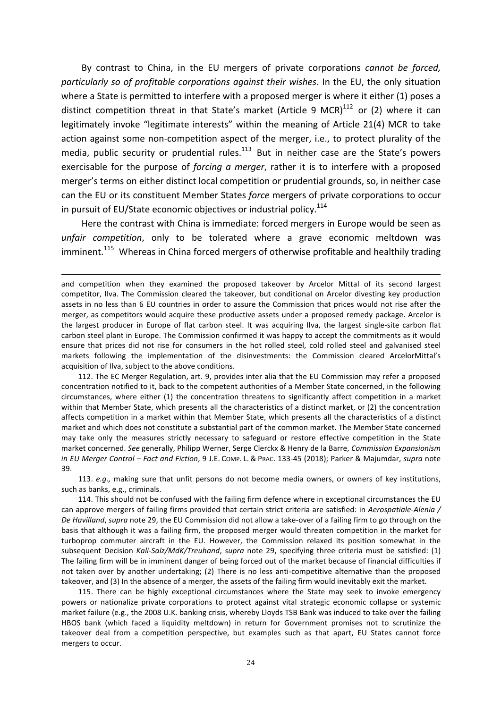By contrast to China, in the EU mergers of private corporations *cannot be forced*, *particularly so of profitable corporations against their wishes.* In the EU, the only situation where a State is permitted to interfere with a proposed merger is where it either (1) poses a distinct competition threat in that State's market (Article 9 MCR) $^{112}$  or (2) where it can legitimately invoke "legitimate interests" within the meaning of Article 21(4) MCR to take action against some non-competition aspect of the merger, i.e., to protect plurality of the media, public security or prudential rules.<sup>113</sup> But in neither case are the State's powers exercisable for the purpose of *forcing a merger*, rather it is to interfere with a proposed merger's terms on either distinct local competition or prudential grounds, so, in neither case can the EU or its constituent Member States *force* mergers of private corporations to occur in pursuit of EU/State economic objectives or industrial policy. $114$ 

Here the contrast with China is immediate: forced mergers in Europe would be seen as *unfair* competition, only to be tolerated where a grave economic meltdown was imminent.<sup>115</sup> Whereas in China forced mergers of otherwise profitable and healthily trading

<u> 1989 - Andrea Santa Alemania, amerikana amerikana amerikana amerikana amerikana amerikana amerikana amerikan</u>

112. The EC Merger Regulation, art. 9, provides inter alia that the EU Commission may refer a proposed concentration notified to it, back to the competent authorities of a Member State concerned, in the following circumstances, where either (1) the concentration threatens to significantly affect competition in a market within that Member State, which presents all the characteristics of a distinct market, or (2) the concentration affects competition in a market within that Member State, which presents all the characteristics of a distinct market and which does not constitute a substantial part of the common market. The Member State concerned may take only the measures strictly necessary to safeguard or restore effective competition in the State market concerned. See generally, Philipp Werner, Serge Clerckx & Henry de la Barre, *Commission Expansionism in* EU Merger Control – Fact and Fiction, 9 J.E. COMP. L. & PRAC. 133-45 (2018); Parker & Majumdar, supra note 39.

113. *e.g.,* making sure that unfit persons do not become media owners, or owners of key institutions, such as banks, e.g., criminals.

114. This should not be confused with the failing firm defence where in exceptional circumstances the EU can approve mergers of failing firms provided that certain strict criteria are satisfied: in *Aerospatiale-Alenia* / *De Havilland*, *supra* note 29, the EU Commission did not allow a take-over of a failing firm to go through on the basis that although it was a failing firm, the proposed merger would threaten competition in the market for turboprop commuter aircraft in the EU. However, the Commission relaxed its position somewhat in the subsequent Decision Kali-Salz/MdK/Treuhand, supra note 29, specifying three criteria must be satisfied: (1) The failing firm will be in imminent danger of being forced out of the market because of financial difficulties if not taken over by another undertaking; (2) There is no less anti-competitive alternative than the proposed takeover, and (3) In the absence of a merger, the assets of the failing firm would inevitably exit the market.

115. There can be highly exceptional circumstances where the State may seek to invoke emergency powers or nationalize private corporations to protect against vital strategic economic collapse or systemic market failure (e.g., the 2008 U.K. banking crisis, whereby Lloyds TSB Bank was induced to take over the failing HBOS bank (which faced a liquidity meltdown) in return for Government promises not to scrutinize the takeover deal from a competition perspective, but examples such as that apart, EU States cannot force mergers to occur.

and competition when they examined the proposed takeover by Arcelor Mittal of its second largest competitor, Ilva. The Commission cleared the takeover, but conditional on Arcelor divesting key production assets in no less than 6 EU countries in order to assure the Commission that prices would not rise after the merger, as competitors would acquire these productive assets under a proposed remedy package. Arcelor is the largest producer in Europe of flat carbon steel. It was acquiring Ilva, the largest single-site carbon flat carbon steel plant in Europe. The Commission confirmed it was happy to accept the commitments as it would ensure that prices did not rise for consumers in the hot rolled steel, cold rolled steel and galvanised steel markets following the implementation of the disinvestments: the Commission cleared ArcelorMittal's acquisition of Ilva, subject to the above conditions.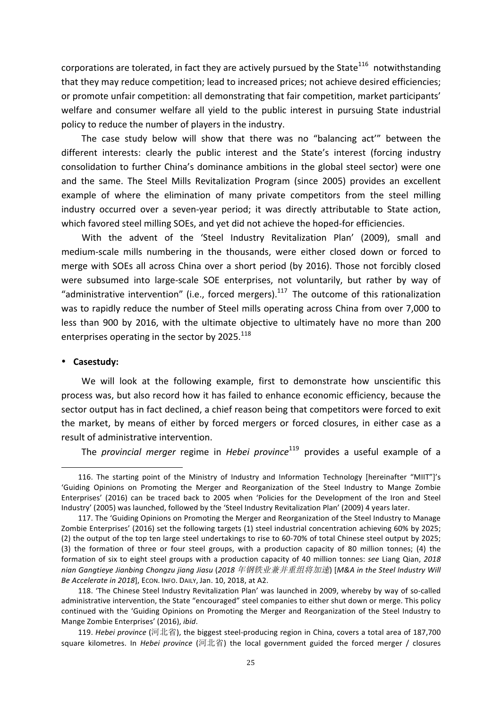corporations are tolerated, in fact they are actively pursued by the State<sup>116</sup> notwithstanding that they may reduce competition; lead to increased prices; not achieve desired efficiencies; or promote unfair competition: all demonstrating that fair competition, market participants' welfare and consumer welfare all yield to the public interest in pursuing State industrial policy to reduce the number of players in the industry.

The case study below will show that there was no "balancing act" between the different interests: clearly the public interest and the State's interest (forcing industry consolidation to further China's dominance ambitions in the global steel sector) were one and the same. The Steel Mills Revitalization Program (since 2005) provides an excellent example of where the elimination of many private competitors from the steel milling industry occurred over a seven-year period; it was directly attributable to State action, which favored steel milling SOEs, and yet did not achieve the hoped-for efficiencies.

With the advent of the 'Steel Industry Revitalization Plan' (2009), small and medium-scale mills numbering in the thousands, were either closed down or forced to merge with SOEs all across China over a short period (by 2016). Those not forcibly closed were subsumed into large-scale SOE enterprises, not voluntarily, but rather by way of "administrative intervention" (i.e., forced mergers).<sup>117</sup> The outcome of this rationalization was to rapidly reduce the number of Steel mills operating across China from over 7,000 to less than 900 by 2016, with the ultimate objective to ultimately have no more than 200 enterprises operating in the sector by 2025. $^{118}$ 

#### • **Casestudy:**

 

We will look at the following example, first to demonstrate how unscientific this process was, but also record how it has failed to enhance economic efficiency, because the sector output has in fact declined, a chief reason being that competitors were forced to exit the market, by means of either by forced mergers or forced closures, in either case as a result of administrative intervention.

The *provincial merger* regime in *Hebei province*<sup>119</sup> provides a useful example of a

<sup>116.</sup> The starting point of the Ministry of Industry and Information Technology [hereinafter "MIIT"]'s 'Guiding Opinions on Promoting the Merger and Reorganization of the Steel Industry to Mange Zombie Enterprises' (2016) can be traced back to 2005 when 'Policies for the Development of the Iron and Steel Industry' (2005) was launched, followed by the 'Steel Industry Revitalization Plan' (2009) 4 years later.

<sup>117.</sup> The 'Guiding Opinions on Promoting the Merger and Reorganization of the Steel Industry to Manage Zombie Enterprises' (2016) set the following targets (1) steel industrial concentration achieving 60% by 2025; (2) the output of the top ten large steel undertakings to rise to 60-70% of total Chinese steel output by 2025; (3) the formation of three or four steel groups, with a production capacity of 80 million tonnes; (4) the formation of six to eight steel groups with a production capacity of 40 million tonnes: *see* Liang Qian, 2018 *nian Gangtieye Jianbing Chongzu jiang Jiasu* (*2018* 年钢铁业兼并重组将加速) [*M&A in the Steel Industry Will Be Accelerate in 2018*], Econ. Info. DAILY, Jan. 10, 2018, at A2.

<sup>118. &#</sup>x27;The Chinese Steel Industry Revitalization Plan' was launched in 2009, whereby by way of so-called administrative intervention, the State "encouraged" steel companies to either shut down or merge. This policy continued with the 'Guiding Opinions on Promoting the Merger and Reorganization of the Steel Industry to Mange Zombie Enterprises' (2016), *ibid*.

<sup>119.</sup> *Hebei province* (河北省), the biggest steel-producing region in China, covers a total area of 187,700 square kilometres. In *Hebei province* (河北省) the local government guided the forced merger / closures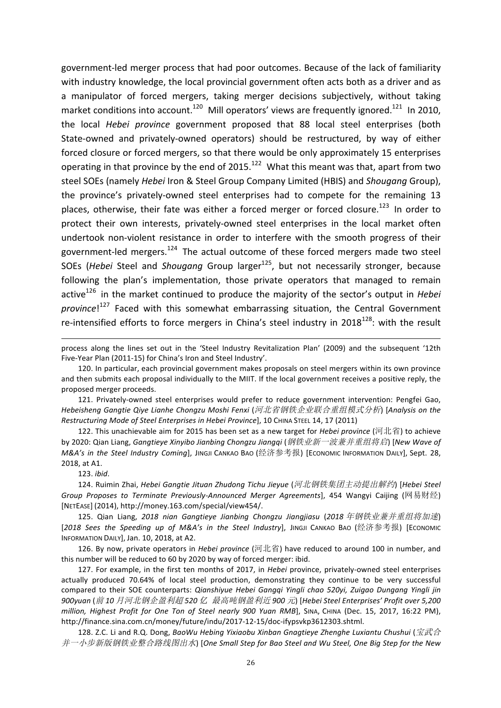government-led merger process that had poor outcomes. Because of the lack of familiarity with industry knowledge, the local provincial government often acts both as a driver and as a manipulator of forced mergers, taking merger decisions subjectively, without taking market conditions into account.<sup>120</sup> Mill operators' views are frequently ignored.<sup>121</sup> In 2010, the local *Hebei province* government proposed that 88 local steel enterprises (both State-owned and privately-owned operators) should be restructured, by way of either forced closure or forced mergers, so that there would be only approximately 15 enterprises operating in that province by the end of 2015.<sup>122</sup> What this meant was that, apart from two steel SOEs (namely *Hebei* Iron & Steel Group Company Limited (HBIS) and *Shougang* Group), the province's privately-owned steel enterprises had to compete for the remaining 13 places, otherwise, their fate was either a forced merger or forced closure.<sup>123</sup> In order to protect their own interests, privately-owned steel enterprises in the local market often undertook non-violent resistance in order to interfere with the smooth progress of their government-led mergers.<sup>124</sup> The actual outcome of these forced mergers made two steel SOEs (*Hebei* Steel and *Shougang* Group larger<sup>125</sup>, but not necessarily stronger, because following the plan's implementation, those private operators that managed to remain active<sup>126</sup> in the market continued to produce the majority of the sector's output in *Hebei* province!<sup>127</sup> Faced with this somewhat embarrassing situation, the Central Government re-intensified efforts to force mergers in China's steel industry in  $2018^{128}$ : with the result

123. *ibid*.

124. Ruimin Zhai, *Hebei Gangtie Jituan Zhudong Tichu Jieyue* (河北钢铁集团主动提出解约) [Hebei Steel Group Proposes to Terminate Previously-Announced Merger Agreementsl, 454 Wangyi Caijing (网易财经) [NETEASE] (2014), http://money.163.com/special/view454/.

125. Qian Liang, 2018 nian Gangtieye Jianbing Chongzu Jiangjiasu (2018 年钢铁业兼并重组将加速) [*2018 Sees the Speeding up of M&A's in the Steel Industry*], JINGJI CANKAO BAO (经济参考报) [ECONOMIC INFORMATION DAILY], Jan. 10, 2018, at A2.

126. By now, private operators in *Hebei province* (河北省) have reduced to around 100 in number, and this number will be reduced to 60 by 2020 by way of forced merger: ibid.

127. For example, in the first ten months of 2017, in *Hebei* province, privately-owned steel enterprises actually produced 70.64% of local steel production, demonstrating they continue to be very successful compared to their SOE counterparts: Qianshiyue Hebei Gangqi Yingli chao 520yi, Zuigao Dungang Yingli jin *900yuan* (前 *10* 月河北钢企盈利超 *520* 亿 最高吨钢盈利近 *900* 元) [*Hebei Steel Enterprises' Profit over 5,200 million, Highest Profit for One Ton of Steel nearly 900 Yuan RMB*], SINA, CHINA (Dec. 15, 2017, 16:22 PM), http://finance.sina.com.cn/money/future/indu/2017-12-15/doc-ifypsvkp3612303.shtml.

128. Z.C. Li and R.Q. Dong, *BaoWu Hebing Yixiaobu Xinban Gnagtieye Zhenghe Luxiantu Chushui* (宝武合 并一小步新版钢铁业整合路线图出水) [One Small Step for Bao Steel and Wu Steel, One Big Step for the New

<sup>&</sup>lt;u> 1989 - Andrea Santa Andrea Andrea Andrea Andrea Andrea Andrea Andrea Andrea Andrea Andrea Andrea Andrea Andr</u> process along the lines set out in the 'Steel Industry Revitalization Plan' (2009) and the subsequent '12th Five-Year Plan (2011-15) for China's Iron and Steel Industry'.

<sup>120.</sup> In particular, each provincial government makes proposals on steel mergers within its own province and then submits each proposal individually to the MIIT. If the local government receives a positive reply, the proposed merger proceeds.

<sup>121.</sup> Privately-owned steel enterprises would prefer to reduce government intervention: Pengfei Gao, Hebeisheng Gangtie Qiye Lianhe Chongzu Moshi Fenxi (河北省钢铁企业联合重组模式分析) [Analysis on the *Restructuring Mode of Steel Enterprises in Hebei Province*], 10 CHINA STEEL 14, 17 (2011)

<sup>122.</sup> This unachievable aim for 2015 has been set as a new target for *Hebei province* (河北省) to achieve by 2020: Qian Liang, *Gangtieye Xinyibo Jianbing Chongzu Jiangqi* (*钢铁业新一波兼并重组将启*) [New Wave of *M&A's in the Steel Industry Coming*], JINGJI CANKAO BAO (经济参考报) [ECONOMIC INFORMATION DAILY], Sept. 28, 2018, at A1.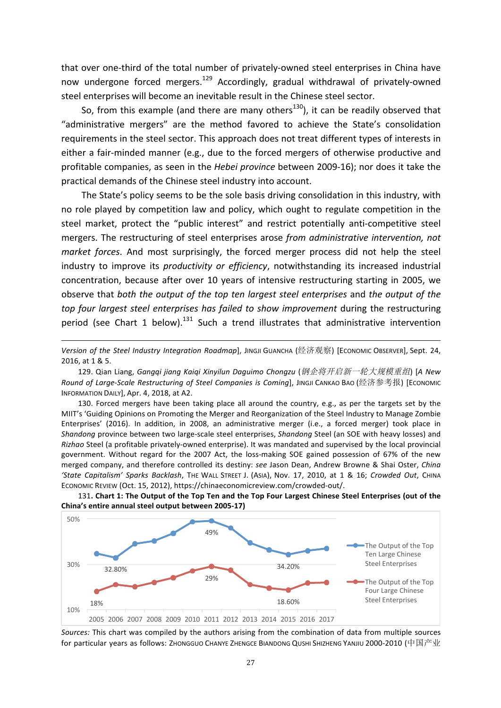that over one-third of the total number of privately-owned steel enterprises in China have now undergone forced mergers.<sup>129</sup> Accordingly, gradual withdrawal of privately-owned steel enterprises will become an inevitable result in the Chinese steel sector.

So, from this example (and there are many others<sup>130</sup>), it can be readily observed that "administrative mergers" are the method favored to achieve the State's consolidation requirements in the steel sector. This approach does not treat different types of interests in either a fair-minded manner (e.g., due to the forced mergers of otherwise productive and profitable companies, as seen in the *Hebei province* between 2009-16); nor does it take the practical demands of the Chinese steel industry into account.

The State's policy seems to be the sole basis driving consolidation in this industry, with no role played by competition law and policy, which ought to regulate competition in the steel market, protect the "public interest" and restrict potentially anti-competitive steel mergers. The restructuring of steel enterprises arose from administrative intervention, not *market forces*. And most surprisingly, the forced merger process did not help the steel industry to improve its *productivity or efficiency*, notwithstanding its increased industrial concentration, because after over 10 years of intensive restructuring starting in 2005, we observe that *both* the *output* of the top ten largest steel enterprises and the output of the *top four largest steel enterprises has failed to show improvement* during the restructuring period (see Chart 1 below).<sup>131</sup> Such a trend illustrates that administrative intervention

<u> 1989 - Andrea Santa Alemania, amerikana amerikana amerikana amerikana amerikana amerikana amerikana amerikan</u>

129. Qian Liang, *Gangqi jiang Kaiqi Xinyilun Daguimo Chongzu* (*钢企将开启新一轮大规模重组*) [A New *Round of Large-Scale Restructuring of Steel Companies is Coming*l, JINGJI CANKAO BAO (经济参考报) [ECONOMIC INFORMATION DAILY], Apr. 4, 2018, at A2.

130. Forced mergers have been taking place all around the country, e.g., as per the targets set by the MIIT's 'Guiding Opinions on Promoting the Merger and Reorganization of the Steel Industry to Manage Zombie Enterprises' (2016). In addition, in 2008, an administrative merger (i.e., a forced merger) took place in *Shandong* province between two large-scale steel enterprises, *Shandong* Steel (an SOE with heavy losses) and *Rizhao* Steel (a profitable privately-owned enterprise). It was mandated and supervised by the local provincial government. Without regard for the 2007 Act, the loss-making SOE gained possession of 67% of the new merged company, and therefore controlled its destiny: *see* Jason Dean, Andrew Browne & Shai Oster, *Ching 'State Capitalism' Sparks Backlash*, THE WALL STREET J. (ASIA), Nov. 17, 2010, at 1 & 16; *Crowded Out*, CHINA ECONOMIC REVIEW (Oct. 15, 2012), https://chinaeconomicreview.com/crowded-out/.





*Sources:* This chart was compiled by the authors arising from the combination of data from multiple sources for particular years as follows: ZHONGGUO CHANYE ZHENGCE BIANDONG QUSHI SHIZHENG YANJIU 2000-2010 (中国产业

Version of the Steel Industry Integration Roadmap], JINGJI GUANCHA (经济观察) [ECONOMIC OBSERVER], Sept. 24, 2016, at 1 & 5.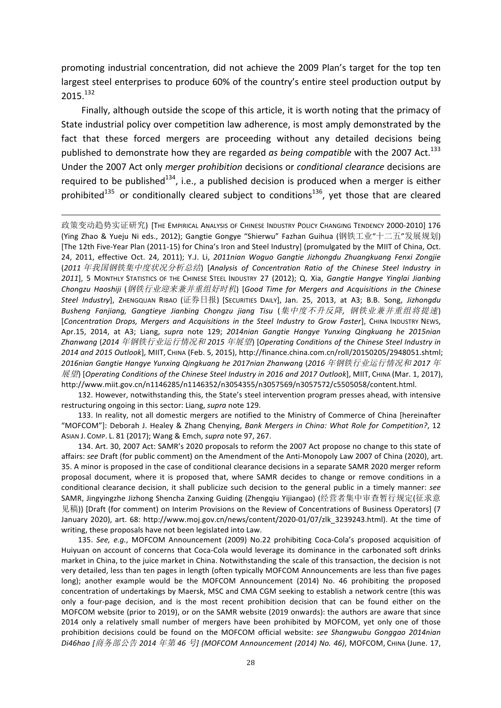promoting industrial concentration, did not achieve the 2009 Plan's target for the top ten largest steel enterprises to produce 60% of the country's entire steel production output by 2015.<sup>132</sup>

Finally, although outside the scope of this article, it is worth noting that the primacy of State industrial policy over competition law adherence, is most amply demonstrated by the fact that these forced mergers are proceeding without any detailed decisions being published to demonstrate how they are regarded *as being compatible* with the 2007 Act.<sup>133</sup> Under the 2007 Act only *merger prohibition* decisions or *conditional clearance* decisions are required to be published<sup>134</sup>, i.e., a published decision is produced when a merger is either prohibited<sup>135</sup> or conditionally cleared subject to conditions<sup>136</sup>, yet those that are cleared

<u> 1989 - Andrea Santa Andrea Andrea Andrea Andrea Andrea Andrea Andrea Andrea Andrea Andrea Andrea Andrea Andr</u>

政策变动趋势实证研究) [THE EMPIRICAL ANALYSIS OF CHINESE INDUSTRY POLICY CHANGING TENDENCY 2000-2010] 176 (Ying Zhao & Yueju Ni eds., 2012); Gangtie Gongye "Shierwu" Fazhan Guihua (钢铁工业"十二五"发展规划) [The 12th Five-Year Plan (2011-15) for China's Iron and Steel Industry] (promulgated by the MIIT of China, Oct. 24, 2011, effective Oct. 24, 2011); Y.J. Li, *2011nian Woguo Gangtie Jizhongdu Zhuangkuang Fenxi Zongjie* (2011 年我国钢铁集中度状况分析总结) [Analysis of Concentration Ratio of the Chinese Steel Industry in 2011], 5 MONTHLY STATISTICS OF THE CHINESE STEEL INDUSTRY 27 (2012); Q. Xia, *Gangtie Hangye Yinglai Jianbing Chongzu Haoshiji* (钢铁行业迎来兼并重组好时机) [Good Time for Mergers and Acquisitions in the Chinese Steel Industry], ZHENGQUAN RIBAO (证券日报) [SECURITIES DAILY], Jan. 25, 2013, at A3; B.B. Song, Jizhongdu *Busheng Fanjiang, Gangtieye Jianbing Chongzu jiang Tisu* (集中度不升反降*,*  钢铁业兼并重组将提速) [*Concentration Drops, Mergers and Acquisitions in the Steel Industry to Grow Faster*], CHINA INDUSTRY NEWS, Apr.15, 2014, at A3; Liang, *supra* note 129; 2014nian Gangtie Hangye Yunxing Qingkuang he 2015nian Zhanwang (2014 年钢铁行业运行情况和 2015 年展望) [Operating Conditions of the Chinese Steel Industry in *2014 and 2015 Outlook*], MIIT, CHINA (Feb. 5, 2015), http://finance.china.com.cn/roll/20150205/2948051.shtml; *2016nian Gangtie Hangye Yunxing Qingkuang he 2017nian Zhanwang* (*2016* 年钢铁行业运行情况和 *2017* 年  $E[\vec{E}$ ] [Operating Conditions of the Chinese Steel Industry in 2016 and 2017 Outlook], MIIT, CHINA (Mar. 1, 2017), http://www.miit.gov.cn/n1146285/n1146352/n3054355/n3057569/n3057572/c5505058/content.html.

132. However, notwithstanding this, the State's steel intervention program presses ahead, with intensive restructuring ongoing in this sector: Liang, *supra* note 129.

133. In reality, not all domestic mergers are notified to the Ministry of Commerce of China [hereinafter "MOFCOM"]: Deborah J. Healey & Zhang Chenying, *Bank Mergers in China: What Role for Competition?*, 12 ASIAN J. COMP. L. 81 (2017); Wang & Emch, *supra* note 97, 267.

134. Art. 30, 2007 Act: SAMR's 2020 proposals to reform the 2007 Act propose no change to this state of affairs: see Draft (for public comment) on the Amendment of the Anti-Monopoly Law 2007 of China (2020), art. 35. A minor is proposed in the case of conditional clearance decisions in a separate SAMR 2020 merger reform proposal document, where it is proposed that, where SAMR decides to change or remove conditions in a conditional clearance decision, it shall publicize such decision to the general public in a timely manner: *see* SAMR, Jingyingzhe Jizhong Shencha Zanxing Guiding (Zhengqiu Yijiangao) (经营者集中审查暂行规定(征求意 见稿)) [Draft (for comment) on Interim Provisions on the Review of Concentrations of Business Operators] (7 January 2020), art. 68: http://www.moj.gov.cn/news/content/2020-01/07/zlk\_3239243.html). At the time of writing, these proposals have not been legislated into Law.

135. *See, e.g.*, MOFCOM Announcement (2009) No.22 prohibiting Coca-Cola's proposed acquisition of Huiyuan on account of concerns that Coca-Cola would leverage its dominance in the carbonated soft drinks market in China, to the juice market in China. Notwithstanding the scale of this transaction, the decision is not very detailed, less than ten pages in length (often typically MOFCOM Announcements are less than five pages long); another example would be the MOFCOM Announcement (2014) No. 46 prohibiting the proposed concentration of undertakings by Maersk, MSC and CMA CGM seeking to establish a network centre (this was only a four-page decision, and is the most recent prohibition decision that can be found either on the MOFCOM website (prior to 2019), or on the SAMR website (2019 onwards): the authors are aware that since 2014 only a relatively small number of mergers have been prohibited by MOFCOM, yet only one of those prohibition decisions could be found on the MOFCOM official website: see Shangwubu Gonggao 2014nian *Di46hao [*商务部公告 *2014* 年第 *46* 号*] (MOFCOM Announcement (2014) No. 46)*, MOFCOM, CHINA (June. 17,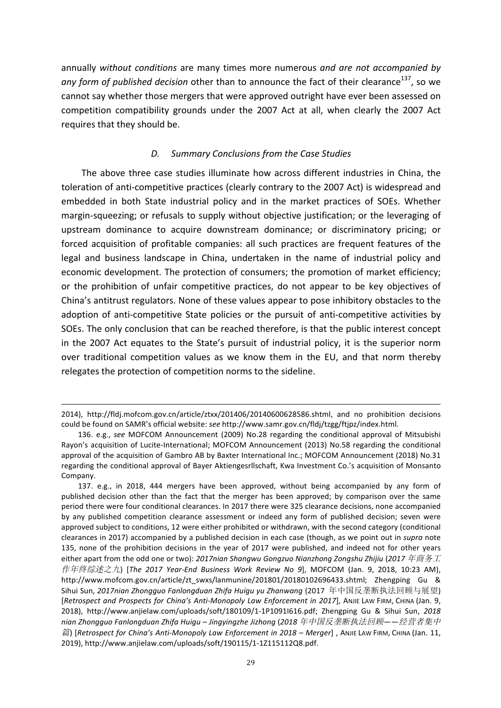annually *without conditions* are many times more numerous *and are not accompanied by* any form of published decision other than to announce the fact of their clearance<sup>137</sup>, so we cannot say whether those mergers that were approved outright have ever been assessed on competition compatibility grounds under the 2007 Act at all, when clearly the 2007 Act requires that they should be.

# *D. Summary Conclusions from the Case Studies*

The above three case studies illuminate how across different industries in China, the toleration of anti-competitive practices (clearly contrary to the 2007 Act) is widespread and embedded in both State industrial policy and in the market practices of SOEs. Whether margin-squeezing; or refusals to supply without objective justification; or the leveraging of upstream dominance to acquire downstream dominance; or discriminatory pricing; or forced acquisition of profitable companies: all such practices are frequent features of the legal and business landscape in China, undertaken in the name of industrial policy and economic development. The protection of consumers; the promotion of market efficiency; or the prohibition of unfair competitive practices, do not appear to be key objectives of China's antitrust regulators. None of these values appear to pose inhibitory obstacles to the adoption of anti-competitive State policies or the pursuit of anti-competitive activities by SOEs. The only conclusion that can be reached therefore, is that the public interest concept in the 2007 Act equates to the State's pursuit of industrial policy, it is the superior norm over traditional competition values as we know them in the EU, and that norm thereby relegates the protection of competition norms to the sideline.

<sup>&</sup>lt;u> 1989 - Andrea Santa Alemania, amerikana amerikana amerikana amerikana amerikana amerikana amerikana amerikan</u> 2014), http://fldj.mofcom.gov.cn/article/ztxx/201406/20140600628586.shtml, and no prohibition decisions could be found on SAMR's official website: see http://www.samr.gov.cn/fldj/tzgg/ftjpz/index.html.

<sup>136.</sup> e.g., see MOFCOM Announcement (2009) No.28 regarding the conditional approval of Mitsubishi Rayon's acquisition of Lucite-International; MOFCOM Announcement (2013) No.58 regarding the conditional approval of the acquisition of Gambro AB by Baxter International Inc.; MOFCOM Announcement (2018) No.31 regarding the conditional approval of Bayer Aktiengesrllschaft, Kwa Investment Co.'s acquisition of Monsanto Company.

<sup>137.</sup> e.g., in 2018, 444 mergers have been approved, without being accompanied by any form of published decision other than the fact that the merger has been approved; by comparison over the same period there were four conditional clearances. In 2017 there were 325 clearance decisions, none accompanied by any published competition clearance assessment or indeed any form of published decision; seven were approved subject to conditions, 12 were either prohibited or withdrawn, with the second category (conditional clearances in 2017) accompanied by a published decision in each case (though, as we point out in *supra* note 135, none of the prohibition decisions in the year of 2017 were published, and indeed not for other years either apart from the odd one or two): 2017nian Shangwu Gongzuo Nianzhong Zongshu Zhijiu (2017 年商务工 作年终综述之九) [The 2017 Year-End Business Work Review No 9], MOFCOM (Jan. 9, 2018, 10:23 AM), http://www.mofcom.gov.cn/article/zt\_swxs/lanmunine/201801/20180102696433.shtml; Zhengping Gu & Sihui Sun, 2017nian Zhongguo Fanlongduan Zhifa Huigu yu Zhanwang (2017 年中国反垄断执法回顾与展望) [*Retrospect and Prospects for China's Anti-Monopoly Law Enforcement in 2017*], ANJIE LAW FIRM, CHINA (Jan. 9, 2018), http://www.anjielaw.com/uploads/soft/180109/1-1P1091I616.pdf; Zhengping Gu & Sihui Sun, 2018 *nian Zhongguo Fanlongduan Zhifa Huigu – Jingyingzhe Jizhong* (*2018* 年中国反垄断执法回顾*——*经营者集中 篇) [Retrospect for China's Anti-Monopoly Law Enforcement in 2018 – Merger], ANJIE LAW FIRM, CHINA (Jan. 11, 2019), http://www.anjielaw.com/uploads/soft/190115/1-1Z115112Q8.pdf.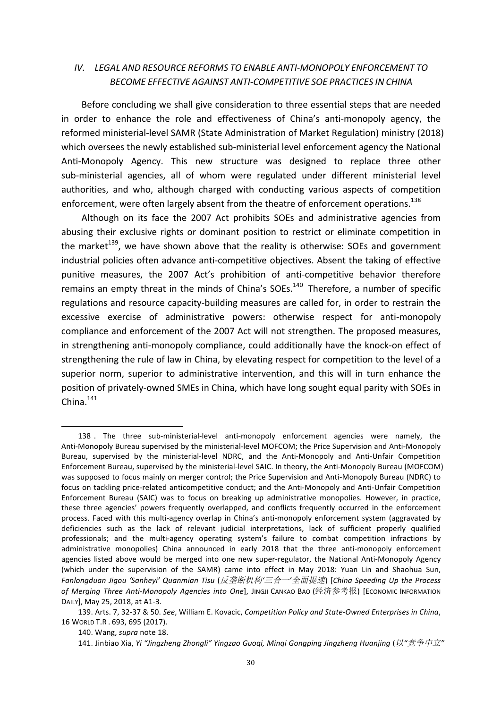# *IV. LEGAL AND RESOURCE REFORMS TO ENABLE ANTI-MONOPOLY ENFORCEMENT TO BECOME EFFECTIVE AGAINST ANTI-COMPETITIVE SOE PRACTICES IN CHINA*

Before concluding we shall give consideration to three essential steps that are needed in order to enhance the role and effectiveness of China's anti-monopoly agency, the reformed ministerial-level SAMR (State Administration of Market Regulation) ministry (2018) which oversees the newly established sub-ministerial level enforcement agency the National Anti-Monopoly Agency. This new structure was designed to replace three other sub-ministerial agencies, all of whom were regulated under different ministerial level authorities, and who, although charged with conducting various aspects of competition enforcement, were often largely absent from the theatre of enforcement operations.<sup>138</sup>

Although on its face the 2007 Act prohibits SOEs and administrative agencies from abusing their exclusive rights or dominant position to restrict or eliminate competition in the market<sup>139</sup>, we have shown above that the reality is otherwise: SOEs and government industrial policies often advance anti-competitive objectives. Absent the taking of effective punitive measures, the 2007 Act's prohibition of anti-competitive behavior therefore remains an empty threat in the minds of China's SOEs.<sup>140</sup> Therefore, a number of specific regulations and resource capacity-building measures are called for, in order to restrain the excessive exercise of administrative powers: otherwise respect for anti-monopoly compliance and enforcement of the 2007 Act will not strengthen. The proposed measures, in strengthening anti-monopoly compliance, could additionally have the knock-on effect of strengthening the rule of law in China, by elevating respect for competition to the level of a superior norm, superior to administrative intervention, and this will in turn enhance the position of privately-owned SMEs in China, which have long sought equal parity with SOEs in  $China.<sup>141</sup>$ 

<sup>138 .</sup> The three sub-ministerial-level anti-monopoly enforcement agencies were namely, the Anti-Monopoly Bureau supervised by the ministerial-level MOFCOM; the Price Supervision and Anti-Monopoly Bureau, supervised by the ministerial-level NDRC, and the Anti-Monopoly and Anti-Unfair Competition Enforcement Bureau, supervised by the ministerial-level SAIC. In theory, the Anti-Monopoly Bureau (MOFCOM) was supposed to focus mainly on merger control; the Price Supervision and Anti-Monopoly Bureau (NDRC) to focus on tackling price-related anticompetitive conduct; and the Anti-Monopoly and Anti-Unfair Competition Enforcement Bureau (SAIC) was to focus on breaking up administrative monopolies. However, in practice, these three agencies' powers frequently overlapped, and conflicts frequently occurred in the enforcement process. Faced with this multi-agency overlap in China's anti-monopoly enforcement system (aggravated by deficiencies such as the lack of relevant judicial interpretations, lack of sufficient properly qualified professionals; and the multi-agency operating system's failure to combat competition infractions by administrative monopolies) China announced in early 2018 that the three anti-monopoly enforcement agencies listed above would be merged into one new super-regulator, the National Anti-Monopoly Agency (which under the supervision of the SAMR) came into effect in May 2018: Yuan Lin and Shaohua Sun, *Fanlongduan Jigou 'Sanheyi' Quanmian Tisu* (反垄断机构*'*三合一*'*全面提速) [*China Speeding Up the Process of Merging Three Anti-Monopoly Agencies into One*], JINGJI CANKAO BAO (经济参考报) [ECONOMIC INFORMATION DAILY], May 25, 2018, at A1-3.

<sup>139.</sup> Arts. 7, 32-37 & 50. See, William E. Kovacic, *Competition Policy and State-Owned Enterprises in China*, 16 WORLD T.R . 693, 695 (2017).

<sup>140.</sup> Wang, *supra* note 18.

<sup>141.</sup> Jinbiao Xia, Yi "Jingzheng Zhongli" Yingzao Guogi, Mingi Gongping Jingzheng Huanjing (以"竞争中立"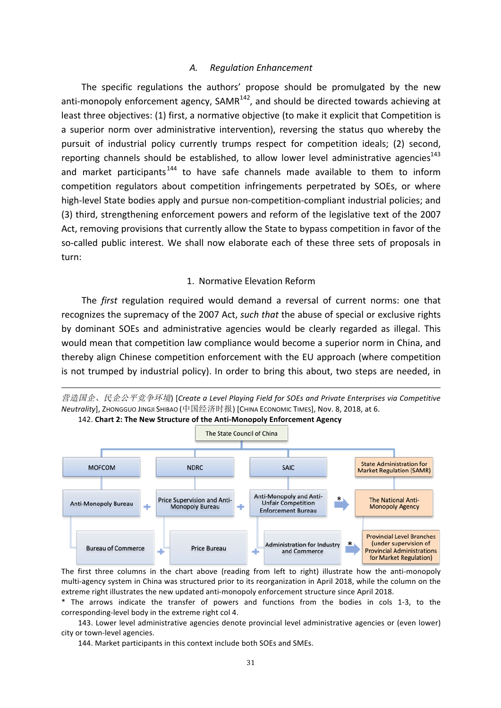# *A. Regulation Enhancement*

The specific regulations the authors' propose should be promulgated by the new anti-monopoly enforcement agency, SAMR $^{142}$ , and should be directed towards achieving at least three objectives: (1) first, a normative objective (to make it explicit that Competition is a superior norm over administrative intervention), reversing the status quo whereby the pursuit of industrial policy currently trumps respect for competition ideals; (2) second, reporting channels should be established, to allow lower level administrative agencies<sup>143</sup> and market participants<sup>144</sup> to have safe channels made available to them to inform competition regulators about competition infringements perpetrated by SOEs, or where high-level State bodies apply and pursue non-competition-compliant industrial policies; and (3) third, strengthening enforcement powers and reform of the legislative text of the 2007 Act, removing provisions that currently allow the State to bypass competition in favor of the so-called public interest. We shall now elaborate each of these three sets of proposals in turn:

## 1. Normative Elevation Reform

The *first* regulation required would demand a reversal of current norms: one that recognizes the supremacy of the 2007 Act, *such that* the abuse of special or exclusive rights by dominant SOEs and administrative agencies would be clearly regarded as illegal. This would mean that competition law compliance would become a superior norm in China, and thereby align Chinese competition enforcement with the EU approach (where competition is not trumped by industrial policy). In order to bring this about, two steps are needed, in





The first three columns in the chart above (reading from left to right) illustrate how the anti-monopoly multi-agency system in China was structured prior to its reorganization in April 2018, while the column on the extreme right illustrates the new updated anti-monopoly enforcement structure since April 2018.

\* The arrows indicate the transfer of powers and functions from the bodies in cols 1-3, to the corresponding-level body in the extreme right col 4.

143. Lower level administrative agencies denote provincial level administrative agencies or (even lower) city or town-level agencies.

144. Market participants in this context include both SOEs and SMEs.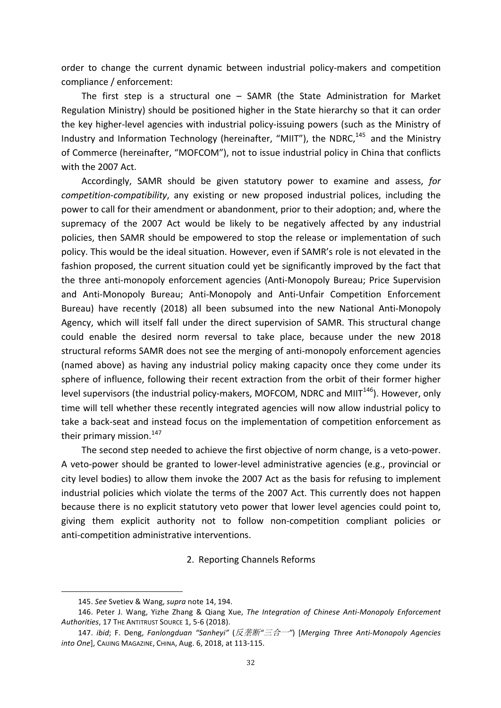order to change the current dynamic between industrial policy-makers and competition compliance / enforcement:

The first step is a structural one – SAMR (the State Administration for Market Regulation Ministry) should be positioned higher in the State hierarchy so that it can order the key higher-level agencies with industrial policy-issuing powers (such as the Ministry of Industry and Information Technology (hereinafter, "MIIT"), the NDRC,<sup>145</sup> and the Ministry of Commerce (hereinafter, "MOFCOM"), not to issue industrial policy in China that conflicts with the 2007 Act.

Accordingly, SAMR should be given statutory power to examine and assess, for *competition-compatibility*, any existing or new proposed industrial polices, including the power to call for their amendment or abandonment, prior to their adoption; and, where the supremacy of the 2007 Act would be likely to be negatively affected by any industrial policies, then SAMR should be empowered to stop the release or implementation of such policy. This would be the ideal situation. However, even if SAMR's role is not elevated in the fashion proposed, the current situation could yet be significantly improved by the fact that the three anti-monopoly enforcement agencies (Anti-Monopoly Bureau; Price Supervision and Anti-Monopoly Bureau; Anti-Monopoly and Anti-Unfair Competition Enforcement Bureau) have recently (2018) all been subsumed into the new National Anti-Monopoly Agency, which will itself fall under the direct supervision of SAMR. This structural change could enable the desired norm reversal to take place, because under the new 2018 structural reforms SAMR does not see the merging of anti-monopoly enforcement agencies (named above) as having any industrial policy making capacity once they come under its sphere of influence, following their recent extraction from the orbit of their former higher level supervisors (the industrial policy-makers, MOFCOM, NDRC and MIIT $<sup>146</sup>$ ). However, only</sup> time will tell whether these recently integrated agencies will now allow industrial policy to take a back-seat and instead focus on the implementation of competition enforcement as their primary mission.<sup>147</sup>

The second step needed to achieve the first objective of norm change, is a veto-power. A veto-power should be granted to lower-level administrative agencies (e.g., provincial or city level bodies) to allow them invoke the 2007 Act as the basis for refusing to implement industrial policies which violate the terms of the 2007 Act. This currently does not happen because there is no explicit statutory veto power that lower level agencies could point to, giving them explicit authority not to follow non-competition compliant policies or anti-competition administrative interventions.

2. Reporting Channels Reforms

<sup>145.</sup> See Svetiev & Wang, *supra* note 14, 194.

<sup>146.</sup> Peter J. Wang, Yizhe Zhang & Qiang Xue, *The Integration of Chinese Anti-Monopoly Enforcement* Authorities, 17 THE ANTITRUST SOURCE 1, 5-6 (2018).

<sup>147.</sup> *ibid*; F. Deng, Fanlongduan "Sanheyi" (反垄断"三合一") [Merging Three Anti-Monopoly Agencies *into One*], CAIJING MAGAZINE, CHINA, Aug. 6, 2018, at 113-115.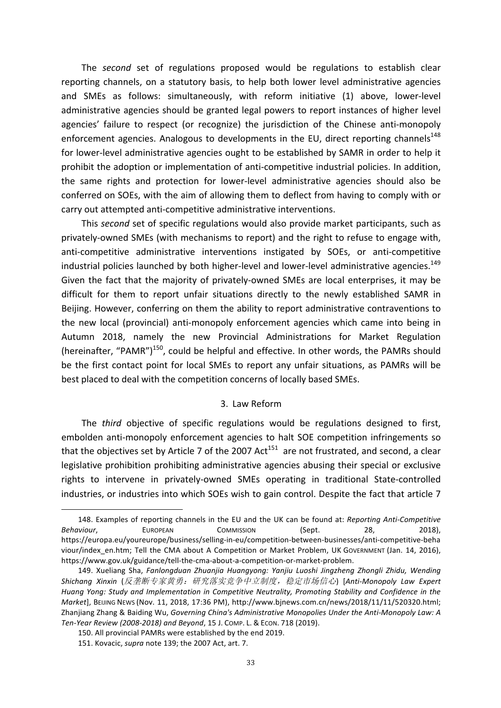The *second* set of regulations proposed would be regulations to establish clear reporting channels, on a statutory basis, to help both lower level administrative agencies and SMEs as follows: simultaneously, with reform initiative (1) above, lower-level administrative agencies should be granted legal powers to report instances of higher level agencies' failure to respect (or recognize) the jurisdiction of the Chinese anti-monopoly enforcement agencies. Analogous to developments in the EU, direct reporting channels<sup>148</sup> for lower-level administrative agencies ought to be established by SAMR in order to help it prohibit the adoption or implementation of anti-competitive industrial policies. In addition, the same rights and protection for lower-level administrative agencies should also be conferred on SOEs, with the aim of allowing them to deflect from having to comply with or carry out attempted anti-competitive administrative interventions.

This *second* set of specific regulations would also provide market participants, such as privately-owned SMEs (with mechanisms to report) and the right to refuse to engage with, anti-competitive administrative interventions instigated by SOEs, or anti-competitive industrial policies launched by both higher-level and lower-level administrative agencies.<sup>149</sup> Given the fact that the majority of privately-owned SMEs are local enterprises, it may be difficult for them to report unfair situations directly to the newly established SAMR in Beijing. However, conferring on them the ability to report administrative contraventions to the new local (provincial) anti-monopoly enforcement agencies which came into being in Autumn 2018, namely the new Provincial Administrations for Market Regulation (hereinafter, "PAMR")<sup>150</sup>, could be helpful and effective. In other words, the PAMRs should be the first contact point for local SMEs to report any unfair situations, as PAMRs will be best placed to deal with the competition concerns of locally based SMEs.

### 3. Law Reform

The *third* objective of specific regulations would be regulations designed to first, embolden anti-monopoly enforcement agencies to halt SOE competition infringements so that the objectives set by Article 7 of the 2007 Act<sup>151</sup> are not frustrated, and second, a clear legislative prohibition prohibiting administrative agencies abusing their special or exclusive rights to intervene in privately-owned SMEs operating in traditional State-controlled industries, or industries into which SOEs wish to gain control. Despite the fact that article 7

<sup>148.</sup> Examples of reporting channels in the EU and the UK can be found at: *Reporting Anti-Competitive Behaviour*, EUROPEAN COMMISSION (Sept. 28, 2018), https://europa.eu/youreurope/business/selling-in-eu/competition-between-businesses/anti-competitive-beha viour/index en.htm; Tell the CMA about A Competition or Market Problem, UK GOVERNMENT (Jan. 14, 2016), https://www.gov.uk/guidance/tell-the-cma-about-a-competition-or-market-problem.

<sup>149.</sup> Xueliang Sha, *Fanlongduan Zhuanjia Huangyong: Yanjiu Luoshi Jingzheng Zhongli Zhidu, Wending Shichang Xinxin* (反垄断专家黄勇:研究落实竞争中立制度,稳定市场信心) [*Anti-Monopoly Law Expert Huang Yong: Study and Implementation in Competitive Neutrality, Promoting Stability and Confidence in the Market*], BEIJING NEWS (Nov. 11, 2018, 17:36 PM), http://www.bjnews.com.cn/news/2018/11/11/520320.html; Zhanjiang Zhang & Baiding Wu, *Governing Ching's Administrative Monopolies Under the Anti-Monopoly Law: A Ten-Year Review (2008-2018) and Beyond*, 15 J. COMP. L. & ECON. 718 (2019).

<sup>150.</sup> All provincial PAMRs were established by the end 2019.

<sup>151.</sup> Kovacic, *supra* note 139; the 2007 Act, art. 7.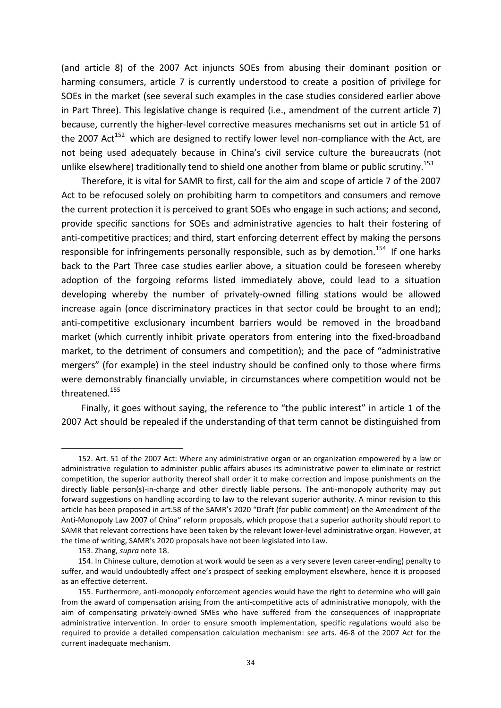(and article 8) of the 2007 Act injuncts SOEs from abusing their dominant position or harming consumers, article 7 is currently understood to create a position of privilege for SOEs in the market (see several such examples in the case studies considered earlier above in Part Three). This legislative change is required (i.e., amendment of the current article  $7$ ) because, currently the higher-level corrective measures mechanisms set out in article 51 of the 2007 Act<sup>152</sup> which are designed to rectify lower level non-compliance with the Act, are not being used adequately because in China's civil service culture the bureaucrats (not unlike elsewhere) traditionally tend to shield one another from blame or public scrutiny.<sup>153</sup>

Therefore, it is vital for SAMR to first, call for the aim and scope of article 7 of the 2007 Act to be refocused solely on prohibiting harm to competitors and consumers and remove the current protection it is perceived to grant SOEs who engage in such actions; and second, provide specific sanctions for SOEs and administrative agencies to halt their fostering of anti-competitive practices; and third, start enforcing deterrent effect by making the persons responsible for infringements personally responsible, such as by demotion.<sup>154</sup> If one harks back to the Part Three case studies earlier above, a situation could be foreseen whereby adoption of the forgoing reforms listed immediately above, could lead to a situation developing whereby the number of privately-owned filling stations would be allowed increase again (once discriminatory practices in that sector could be brought to an end); anti-competitive exclusionary incumbent barriers would be removed in the broadband market (which currently inhibit private operators from entering into the fixed-broadband market, to the detriment of consumers and competition); and the pace of "administrative mergers" (for example) in the steel industry should be confined only to those where firms were demonstrably financially unviable, in circumstances where competition would not be threatened.<sup>155</sup>

Finally, it goes without saying, the reference to "the public interest" in article 1 of the 2007 Act should be repealed if the understanding of that term cannot be distinguished from

<sup>152.</sup> Art. 51 of the 2007 Act: Where any administrative organ or an organization empowered by a law or administrative regulation to administer public affairs abuses its administrative power to eliminate or restrict competition, the superior authority thereof shall order it to make correction and impose punishments on the directly liable person(s)-in-charge and other directly liable persons. The anti-monopoly authority may put forward suggestions on handling according to law to the relevant superior authority. A minor revision to this article has been proposed in art.58 of the SAMR's 2020 "Draft (for public comment) on the Amendment of the Anti-Monopoly Law 2007 of China" reform proposals, which propose that a superior authority should report to SAMR that relevant corrections have been taken by the relevant lower-level administrative organ. However, at the time of writing, SAMR's 2020 proposals have not been legislated into Law.

<sup>153.</sup> Zhang, *supra* note 18.

<sup>154.</sup> In Chinese culture, demotion at work would be seen as a very severe (even career-ending) penalty to suffer, and would undoubtedly affect one's prospect of seeking employment elsewhere, hence it is proposed as an effective deterrent.

<sup>155.</sup> Furthermore, anti-monopoly enforcement agencies would have the right to determine who will gain from the award of compensation arising from the anti-competitive acts of administrative monopoly, with the aim of compensating privately-owned SMEs who have suffered from the consequences of inappropriate administrative intervention. In order to ensure smooth implementation, specific regulations would also be required to provide a detailed compensation calculation mechanism: see arts. 46-8 of the 2007 Act for the current inadequate mechanism.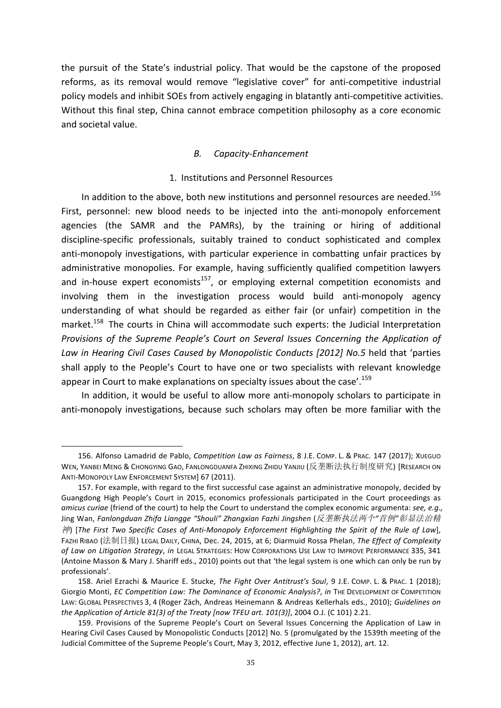the pursuit of the State's industrial policy. That would be the capstone of the proposed reforms, as its removal would remove "legislative cover" for anti-competitive industrial policy models and inhibit SOEs from actively engaging in blatantly anti-competitive activities. Without this final step, China cannot embrace competition philosophy as a core economic and societal value.

# *B. Capacity-Enhancement*

## 1. Institutions and Personnel Resources

In addition to the above, both new institutions and personnel resources are needed.<sup>156</sup> First, personnel: new blood needs to be injected into the anti-monopoly enforcement agencies (the SAMR and the PAMRs), by the training or hiring of additional discipline-specific professionals, suitably trained to conduct sophisticated and complex anti-monopoly investigations, with particular experience in combatting unfair practices by administrative monopolies. For example, having sufficiently qualified competition lawyers and in-house expert economists<sup>157</sup>, or employing external competition economists and involving them in the investigation process would build anti-monopoly agency understanding of what should be regarded as either fair (or unfair) competition in the market.<sup>158</sup> The courts in China will accommodate such experts: the Judicial Interpretation *Provisions of the Supreme People's Court on Several Issues Concerning the Application of* Law in Hearing Civil Cases Caused by Monopolistic Conducts [2012] No.5 held that 'parties shall apply to the People's Court to have one or two specialists with relevant knowledge appear in Court to make explanations on specialty issues about the case'.<sup>159</sup>

In addition, it would be useful to allow more anti-monopoly scholars to participate in anti-monopoly investigations, because such scholars may often be more familiar with the

<sup>156.</sup> Alfonso Lamadrid de Pablo, *Competition Law as Fairness*, 8 J.E. COMP. L. & PRAC. 147 (2017); XUEGUO WEN, YANBEI MENG & CHONGYING GAO, FANLONGDUANFA ZHIXING ZHIDU YANJIU (反垄断法执行制度研究) [RESEARCH ON ANTI-MONOPOLY LAW ENFORCEMENT SYSTEM] 67 (2011).

<sup>157.</sup> For example, with regard to the first successful case against an administrative monopoly, decided by Guangdong High People's Court in 2015, economics professionals participated in the Court proceedings as *amicus curiae* (friend of the court) to help the Court to understand the complex economic argumenta: see, e.g., Jing Wan, *Fanlongduan Zhifa Liangge "Shouli" Zhangxian Fazhi Jingshen* (反垄断执法两个*"*首例*"*彰显法治精 神) [The First Two Specific Cases of Anti-Monopoly Enforcement Highlighting the Spirit of the Rule of Law], FAZHI RIBAO (法制日报) LEGAL DAILY, CHINA, Dec. 24, 2015, at 6; Diarmuid Rossa Phelan, *The Effect of Complexity* of Law on Litigation Strategy, in LEGAL STRATEGIES: HOW CORPORATIONS USE LAW TO IMPROVE PERFORMANCE 335, 341 (Antoine Masson & Mary J. Shariff eds., 2010) points out that 'the legal system is one which can only be run by professionals'.

<sup>158.</sup> Ariel Ezrachi & Maurice E. Stucke, *The Fight Over Antitrust's Soul*, 9 J.E. COMP. L. & PRAC. 1 (2018); Giorgio Monti, *EC Competition Law: The Dominance of Economic Analysis?*, *in* THE DEVELOPMENT OF COMPETITION LAW: GLOBAL PERSPECTIVES 3, 4 (Roger Zäch, Andreas Heinemann & Andreas Kellerhals eds., 2010); *Guidelines on the Application of Article 81(3) of the Treaty [now TFEU art. 101(3)]*, 2004 O.J. (C 101) 2.21.

<sup>159.</sup> Provisions of the Supreme People's Court on Several Issues Concerning the Application of Law in Hearing Civil Cases Caused by Monopolistic Conducts [2012] No. 5 (promulgated by the 1539th meeting of the Judicial Committee of the Supreme People's Court, May 3, 2012, effective June 1, 2012), art. 12.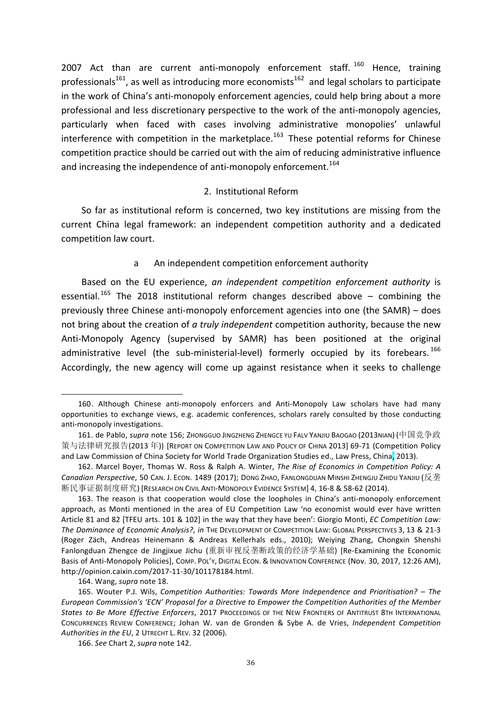2007 Act than are current anti-monopoly enforcement staff.  $160$  Hence, training professionals<sup>161</sup>, as well as introducing more economists<sup>162</sup> and legal scholars to participate in the work of China's anti-monopoly enforcement agencies, could help bring about a more professional and less discretionary perspective to the work of the anti-monopoly agencies, particularly when faced with cases involving administrative monopolies' unlawful interference with competition in the marketplace.<sup>163</sup> These potential reforms for Chinese competition practice should be carried out with the aim of reducing administrative influence and increasing the independence of anti-monopoly enforcement.<sup>164</sup>

### 2. Institutional Reform

So far as institutional reform is concerned, two key institutions are missing from the current China legal framework: an independent competition authority and a dedicated competition law court.

# a An independent competition enforcement authority

Based on the EU experience, *an independent competition enforcement authority* is essential.<sup>165</sup> The 2018 institutional reform changes described above – combining the previously three Chinese anti-monopoly enforcement agencies into one (the SAMR) – does not bring about the creation of *a truly independent* competition authority, because the new Anti-Monopoly Agency (supervised by SAMR) has been positioned at the original administrative level (the sub-ministerial-level) formerly occupied by its forebears.<sup>166</sup> Accordingly, the new agency will come up against resistance when it seeks to challenge

<sup>160.</sup> Although Chinese anti-monopoly enforcers and Anti-Monopoly Law scholars have had many opportunities to exchange views, e.g. academic conferences, scholars rarely consulted by those conducting anti-monopoly investigations.

<sup>161.</sup> de Pablo*, supra* note 156; ZhONGGUO JINGZHENG ZHENGCE YU FALV YANJIU BAOGAO (2013NIAN) (中国竞争政 策与法律研究报告(2013 年)) [REPORT ON COMPETITION LAW AND POLICY OF CHINA 2013] 69-71 (Competition Policy and Law Commission of China Society for World Trade Organization Studies ed., Law Press, China, 2013).

<sup>162.</sup> Marcel Boyer, Thomas W. Ross & Ralph A. Winter, *The Rise of Economics in Competition Policy: A* Canadian Perspective, 50 CAN. J. ECON. 1489 (2017); DONG ZHAO, FANLONGDUAN MINSHI ZHENGJU ZHIDU YANJIU (反垄 断民事证据制度研究) [RESEARCH ON CIVIL ANTI-MONOPOLY EVIDENCE SYSTEM] 4, 16-8 & 58-62 (2014).

<sup>163.</sup> The reason is that cooperation would close the loopholes in China's anti-monopoly enforcement approach, as Monti mentioned in the area of EU Competition Law 'no economist would ever have written Article 81 and 82 [TFEU arts. 101 & 102] in the way that they have been': Giorgio Monti, *EC Competition Law:* The Dominance of Economic Analysis?, in THE DEVELOPMENT OF COMPETITION LAW: GLOBAL PERSPECTIVES 3, 13 & 21-3 (Roger Zäch, Andreas Heinemann & Andreas Kellerhals eds., 2010); Weiving Zhang, Chongxin Shenshi Fanlongduan Zhengce de Jingjixue Jichu (重新审视反垄断政策的经济学基础) [Re-Examining the Economic Basis of Anti-Monopoly Policies], COMP. POL'Y, DIGITAL ECON. & INNOVATION CONFERENCE (Nov. 30, 2017, 12:26 AM), http://opinion.caixin.com/2017-11-30/101178184.html.

<sup>164.</sup> Wang, *supra* note 18.

<sup>165.</sup> Wouter P.J. Wils, *Competition Authorities: Towards More Independence and Prioritisation?* – The *European Commission's 'ECN' Proposal for a Directive to Empower the Competition Authorities of the Member States to Be More Effective Enforcers*, 2017 PROCEEDINGS OF THE NEW FRONTIERS OF ANTITRUST 8TH INTERNATIONAL CONCURRENCES REVIEW CONFERENCE; Johan W. van de Gronden & Sybe A. de Vries, *Independent Competition*  Authorities in the EU, 2 UTRECHT L. REV. 32 (2006).

<sup>166.</sup> *See* Chart 2, *supra* note 142.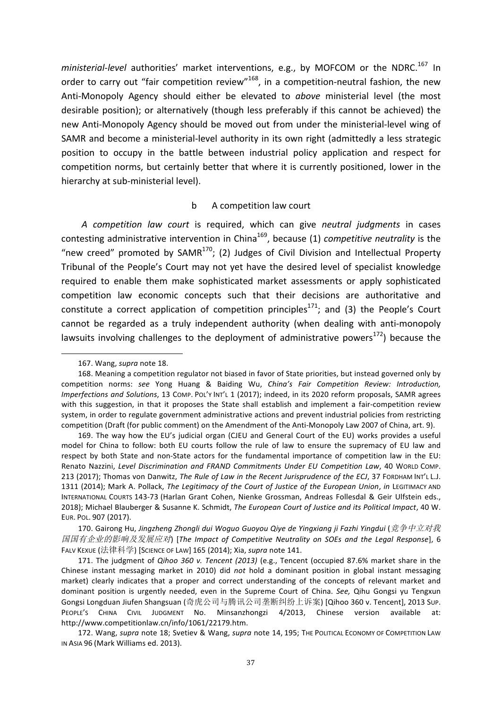ministerial-level authorities' market interventions, e.g., by MOFCOM or the NDRC.<sup>167</sup> In order to carry out "fair competition review"<sup>168</sup>, in a competition-neutral fashion, the new Anti-Monopoly Agency should either be elevated to *above* ministerial level (the most desirable position); or alternatively (though less preferably if this cannot be achieved) the new Anti-Monopoly Agency should be moved out from under the ministerial-level wing of SAMR and become a ministerial-level authority in its own right (admittedly a less strategic position to occupy in the battle between industrial policy application and respect for competition norms, but certainly better that where it is currently positioned, lower in the hierarchy at sub-ministerial level).

#### b A competition law court

*A competition law court* is required, which can give *neutral judgments* in cases contesting administrative intervention in China<sup>169</sup>, because (1) *competitive neutrality* is the "new creed" promoted by SAMR $^{170}$ ; (2) Judges of Civil Division and Intellectual Property Tribunal of the People's Court may not yet have the desired level of specialist knowledge required to enable them make sophisticated market assessments or apply sophisticated competition law economic concepts such that their decisions are authoritative and constitute a correct application of competition principles<sup>171</sup>; and (3) the People's Court cannot be regarded as a truly independent authority (when dealing with anti-monopoly lawsuits involving challenges to the deployment of administrative powers<sup>172</sup>) because the

170. Gairong Hu, Jingzheng Zhongli dui Woguo Guoyou Qiye de Yingxiang ji Fazhi Yingdui ( 竞争中立对我 国国有企业的影响及发展应对) [*The Impact of Competitive Neutrality on SOEs and the Legal Response*], 6 FALV KEXUE (法律科学) [SCIENCE OF LAW] 165 (2014); Xia, *supra* note 141.

 167. Wang, *supra* note 18.

<sup>168.</sup> Meaning a competition regulator not biased in favor of State priorities, but instead governed only by competition norms: see Yong Huang & Baiding Wu, *China's Fair Competition Review: Introduction*, *Imperfections and Solutions*, 13 COMP. POL'Y INT'L 1 (2017); indeed, in its 2020 reform proposals, SAMR agrees with this suggestion, in that it proposes the State shall establish and implement a fair-competition review system, in order to regulate government administrative actions and prevent industrial policies from restricting competition (Draft (for public comment) on the Amendment of the Anti-Monopoly Law 2007 of China, art. 9).

<sup>169.</sup> The way how the EU's judicial organ (CJEU and General Court of the EU) works provides a useful model for China to follow: both EU courts follow the rule of law to ensure the supremacy of EU law and respect by both State and non-State actors for the fundamental importance of competition law in the EU: Renato Nazzini, Level Discrimination and FRAND Commitments Under EU Competition Law, 40 WORLD COMP. 213 (2017); Thomas von Danwitz, The Rule of Law in the Recent Jurisprudence of the ECJ, 37 FORDHAM INT'L L.J. 1311 (2014); Mark A. Pollack, *The Legitimacy of the Court of Justice of the European Union, in LEGITIMACY AND* INTERNATIONAL COURTS 143-73 (Harlan Grant Cohen, Nienke Grossman, Andreas Follesdal & Geir Ulfstein eds., 2018); Michael Blauberger & Susanne K. Schmidt, *The European Court of Justice and its Political Impact*, 40 W. EUR. POL. 907 (2017).

<sup>171.</sup> The judgment of *Qihoo 360 v. Tencent (2013)* (e.g., Tencent (occupied 87.6% market share in the Chinese instant messaging market in 2010) did *not* hold a dominant position in global instant messaging market) clearly indicates that a proper and correct understanding of the concepts of relevant market and dominant position is urgently needed, even in the Supreme Court of China. See, Qihu Gongsi yu Tengxun Gongsi Longduan Jiufen Shangsuan (奇虎公司与腾讯公司垄断纠纷上诉案) [Qihoo 360 v. Tencent], 2013 Sup. PEOPLE'S CHINA CIVIL JUDGMENT No. Minsanzhongzi 4/2013, Chinese version available at: http://www.competitionlaw.cn/info/1061/22179.htm.

<sup>172.</sup> Wang, *supra* note 18; Svetiev & Wang, *supra* note 14, 195; The POLITICAL ECONOMY OF COMPETITION LAW IN ASIA 96 (Mark Williams ed. 2013).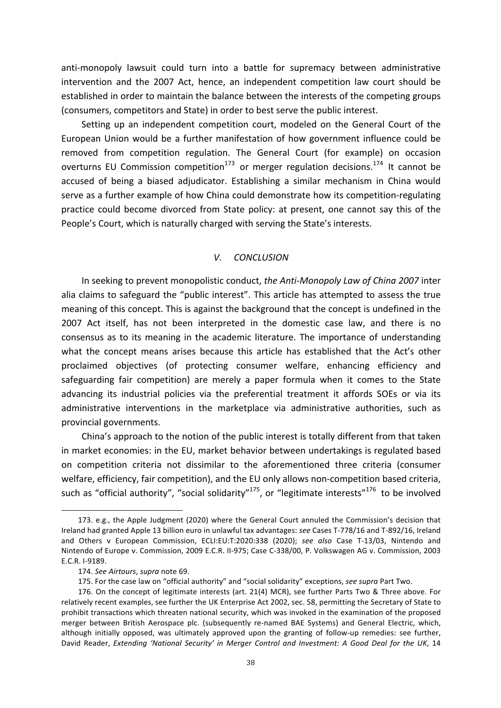anti-monopoly lawsuit could turn into a battle for supremacy between administrative intervention and the 2007 Act, hence, an independent competition law court should be established in order to maintain the balance between the interests of the competing groups (consumers, competitors and State) in order to best serve the public interest.

Setting up an independent competition court, modeled on the General Court of the European Union would be a further manifestation of how government influence could be removed from competition regulation. The General Court (for example) on occasion overturns EU Commission competition $^{173}$  or merger regulation decisions.<sup>174</sup> It cannot be accused of being a biased adjudicator. Establishing a similar mechanism in China would serve as a further example of how China could demonstrate how its competition-regulating practice could become divorced from State policy: at present, one cannot say this of the People's Court, which is naturally charged with serving the State's interests.

# *V. CONCLUSION*

In seeking to prevent monopolistic conduct, *the Anti-Monopoly Law of China 2007* inter alia claims to safeguard the "public interest". This article has attempted to assess the true meaning of this concept. This is against the background that the concept is undefined in the 2007 Act itself, has not been interpreted in the domestic case law, and there is no consensus as to its meaning in the academic literature. The importance of understanding what the concept means arises because this article has established that the Act's other proclaimed objectives (of protecting consumer welfare, enhancing efficiency and safeguarding fair competition) are merely a paper formula when it comes to the State advancing its industrial policies via the preferential treatment it affords SOEs or via its administrative interventions in the marketplace via administrative authorities, such as provincial governments.

China's approach to the notion of the public interest is totally different from that taken in market economies: in the EU, market behavior between undertakings is regulated based on competition criteria not dissimilar to the aforementioned three criteria (consumer welfare, efficiency, fair competition), and the EU only allows non-competition based criteria, such as "official authority", "social solidarity"<sup>175</sup>, or "legitimate interests"<sup>176</sup> to be involved

<sup>173.</sup> e.g., the Apple Judgment (2020) where the General Court annuled the Commission's decision that Ireland had granted Apple 13 billion euro in unlawful tax advantages: see Cases T-778/16 and T-892/16, Ireland and Others v European Commission, ECLI:EU:T:2020:338 (2020); see also Case T-13/03, Nintendo and Nintendo of Europe v. Commission, 2009 E.C.R. II-975; Case C-338/00, P. Volkswagen AG v. Commission, 2003 E.C.R. I-9189.

<sup>174.</sup> See Airtours, supra note 69.

<sup>175.</sup> For the case law on "official authority" and "social solidarity" exceptions, *see supra* Part Two.

<sup>176.</sup> On the concept of legitimate interests (art. 21(4) MCR), see further Parts Two & Three above. For relatively recent examples, see further the UK Enterprise Act 2002, sec. 58, permitting the Secretary of State to prohibit transactions which threaten national security, which was invoked in the examination of the proposed merger between British Aerospace plc. (subsequently re-named BAE Systems) and General Electric, which, although initially opposed, was ultimately approved upon the granting of follow-up remedies: see further, David Reader, *Extending 'National Security' in Merger Control and Investment: A Good Deal for the UK*, 14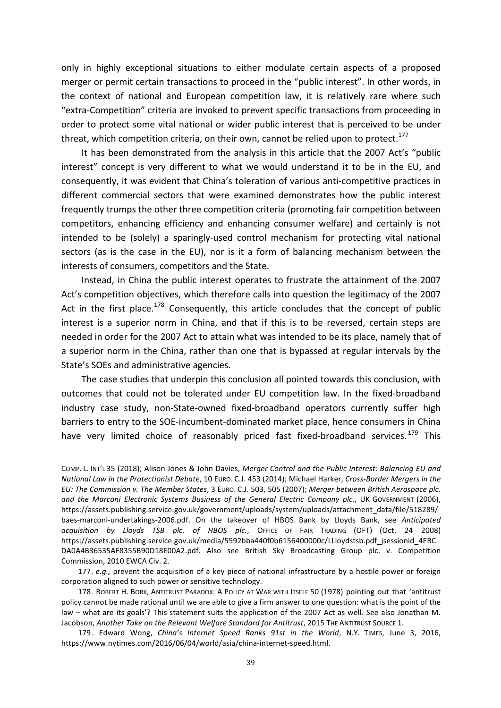only in highly exceptional situations to either modulate certain aspects of a proposed merger or permit certain transactions to proceed in the "public interest". In other words, in the context of national and European competition law, it is relatively rare where such "extra-Competition" criteria are invoked to prevent specific transactions from proceeding in order to protect some vital national or wider public interest that is perceived to be under threat, which competition criteria, on their own, cannot be relied upon to protect.<sup>177</sup>

It has been demonstrated from the analysis in this article that the 2007 Act's "public interest" concept is very different to what we would understand it to be in the EU, and consequently, it was evident that China's toleration of various anti-competitive practices in different commercial sectors that were examined demonstrates how the public interest frequently trumps the other three competition criteria (promoting fair competition between competitors, enhancing efficiency and enhancing consumer welfare) and certainly is not intended to be (solely) a sparingly-used control mechanism for protecting vital national sectors (as is the case in the EU), nor is it a form of balancing mechanism between the interests of consumers, competitors and the State.

Instead, in China the public interest operates to frustrate the attainment of the 2007 Act's competition objectives, which therefore calls into question the legitimacy of the 2007 Act in the first place.<sup>178</sup> Consequently, this article concludes that the concept of public interest is a superior norm in China, and that if this is to be reversed, certain steps are needed in order for the 2007 Act to attain what was intended to be its place, namely that of a superior norm in the China, rather than one that is bypassed at regular intervals by the State's SOEs and administrative agencies.

The case studies that underpin this conclusion all pointed towards this conclusion, with outcomes that could not be tolerated under EU competition law. In the fixed-broadband industry case study, non-State-owned fixed-broadband operators currently suffer high barriers to entry to the SOE-incumbent-dominated market place, hence consumers in China have very limited choice of reasonably priced fast fixed-broadband services.<sup>179</sup> This

<u> 1989 - Andrea Santa Alemania, amerikana amerikana amerikana amerikana amerikana amerikana amerikana amerikan</u>

177. *e.g.*, prevent the acquisition of a key piece of national infrastructure by a hostile power or foreign corporation aligned to such power or sensitive technology.

COMP. L. INT'L 35 (2018); Alison Jones & John Davies, *Merger Control and the Public Interest: Balancing EU and National Law in the Protectionist Debate*, 10 EURO. C.J. 453 (2014); Michael Harker, *Cross-Border Mergers in the EU: The Commission v. The Member States*, 3 EURO. C.J. 503, 505 (2007); *Merger between British Aerospace plc.*  and the Marconi Electronic Systems Business of the General Electric Company plc., UK GOVERNMENT (2006), https://assets.publishing.service.gov.uk/government/uploads/system/uploads/attachment\_data/file/518289/ baes-marconi-undertakings-2006.pdf. On the takeover of HBOS Bank by Lloyds Bank, see Anticipated *acquisition by Lloyds TSB plc. of HBOS plc.*, OFFICE OF FAIR TRADING (OFT) (Oct. 24 2008) https://assets.publishing.service.gov.uk/media/5592bba440f0b6156400000c/LLloydstsb.pdf\_jsessionid\_4EBC DA0A4B36535AF8355B90D18E00A2.pdf. Also see British Sky Broadcasting Group plc. v. Competition Commission, 2010 EWCA Civ. 2.

<sup>178.</sup> ROBERT H. BORK, ANTITRUST PARADOX: A POLICY AT WAR WITH ITSELF 50 (1978) pointing out that 'antitrust policy cannot be made rational until we are able to give a firm answer to one question: what is the point of the law – what are its goals'? This statement suits the application of the 2007 Act as well. See also Jonathan M. Jacobson, Another Take on the Relevant Welfare Standard for Antitrust, 2015 THE ANTITRUST SOURCE 1.

<sup>179.</sup> Edward Wong, *China's Internet Speed Ranks 91st in the World*, N.Y. TIMES, June 3, 2016, https://www.nytimes.com/2016/06/04/world/asia/china-internet-speed.html.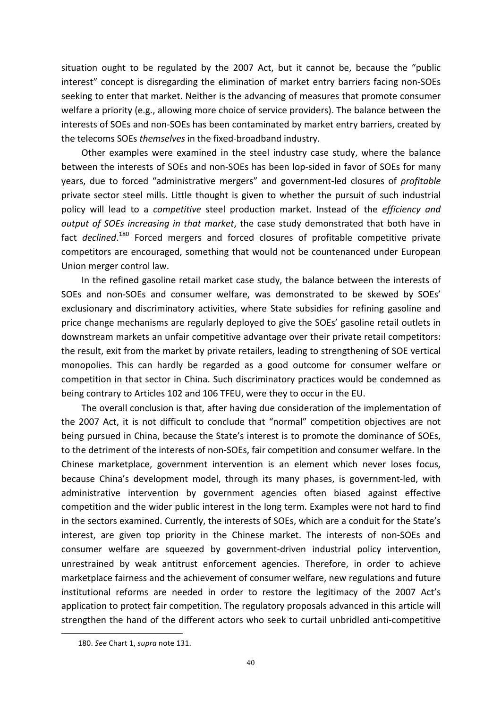situation ought to be regulated by the 2007 Act, but it cannot be, because the "public interest" concept is disregarding the elimination of market entry barriers facing non-SOEs seeking to enter that market. Neither is the advancing of measures that promote consumer welfare a priority (e.g., allowing more choice of service providers). The balance between the interests of SOEs and non-SOEs has been contaminated by market entry barriers, created by the telecoms SOEs *themselves* in the fixed-broadband industry.

Other examples were examined in the steel industry case study, where the balance between the interests of SOEs and non-SOEs has been lop-sided in favor of SOEs for many years, due to forced "administrative mergers" and government-led closures of *profitable* private sector steel mills. Little thought is given to whether the pursuit of such industrial policy will lead to a *competitive* steel production market. Instead of the *efficiency and output* of *SOEs increasing in that market*, the case study demonstrated that both have in fact *declined*.<sup>180</sup> Forced mergers and forced closures of profitable competitive private competitors are encouraged, something that would not be countenanced under European Union merger control law.

In the refined gasoline retail market case study, the balance between the interests of SOEs and non-SOEs and consumer welfare, was demonstrated to be skewed by SOEs' exclusionary and discriminatory activities, where State subsidies for refining gasoline and price change mechanisms are regularly deployed to give the SOEs' gasoline retail outlets in downstream markets an unfair competitive advantage over their private retail competitors: the result, exit from the market by private retailers, leading to strengthening of SOE vertical monopolies. This can hardly be regarded as a good outcome for consumer welfare or competition in that sector in China. Such discriminatory practices would be condemned as being contrary to Articles 102 and 106 TFEU, were they to occur in the EU.

The overall conclusion is that, after having due consideration of the implementation of the 2007 Act, it is not difficult to conclude that "normal" competition objectives are not being pursued in China, because the State's interest is to promote the dominance of SOEs, to the detriment of the interests of non-SOEs, fair competition and consumer welfare. In the Chinese marketplace, government intervention is an element which never loses focus, because China's development model, through its many phases, is government-led, with administrative intervention by government agencies often biased against effective competition and the wider public interest in the long term. Examples were not hard to find in the sectors examined. Currently, the interests of SOEs, which are a conduit for the State's interest, are given top priority in the Chinese market. The interests of non-SOEs and consumer welfare are squeezed by government-driven industrial policy intervention, unrestrained by weak antitrust enforcement agencies. Therefore, in order to achieve marketplace fairness and the achievement of consumer welfare, new regulations and future institutional reforms are needed in order to restore the legitimacy of the 2007 Act's application to protect fair competition. The regulatory proposals advanced in this article will strengthen the hand of the different actors who seek to curtail unbridled anti-competitive

<sup>180.</sup> See Chart 1, *supra* note 131.